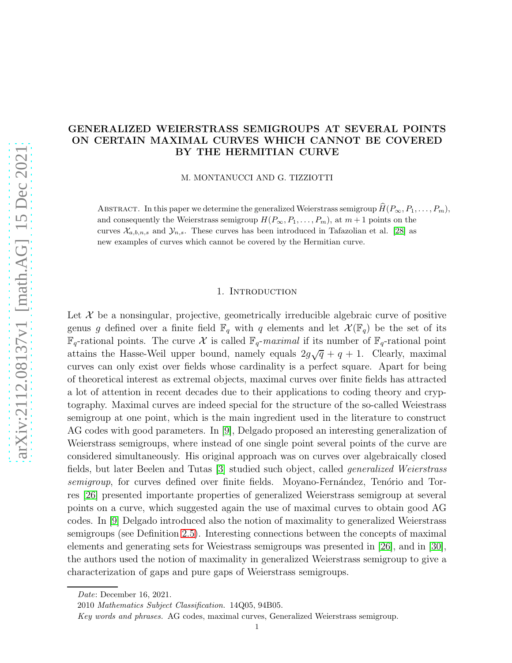# GENERALIZED WEIERSTRASS SEMIGROUPS AT SEVERAL POINTS ON CERTAIN MAXIMAL CURVES WHICH CANNOT BE COVERED BY THE HERMITIAN CURVE

M. MONTANUCCI AND G. TIZZIOTTI

ABSTRACT. In this paper we determine the generalized Weierstrass semigroup  $\hat{H}(P_{\infty}, P_1, \ldots, P_m)$ , and consequently the Weierstrass semigroup  $H(P_{\infty}, P_1, \ldots, P_m)$ , at  $m + 1$  points on the curves  $\mathcal{X}_{a,b,n,s}$  and  $\mathcal{Y}_{n,s}$ . These curves has been introduced in Tafazolian et al. [\[28\]](#page-20-0) as new examples of curves which cannot be covered by the Hermitian curve.

#### 1. INTRODUCTION

Let  $\mathcal X$  be a nonsingular, projective, geometrically irreducible algebraic curve of positive genus g defined over a finite field  $\mathbb{F}_q$  with q elements and let  $\mathcal{X}(\mathbb{F}_q)$  be the set of its  $\mathbb{F}_q$ -rational points. The curve X is called  $\mathbb{F}_q$ -maximal if its number of  $\mathbb{F}_q$ -rational point attains the Hasse-Weil upper bound, namely equals  $2g\sqrt{q} + q + 1$ . Clearly, maximal curves can only exist over fields whose cardinality is a perfect square. Apart for being of theoretical interest as extremal objects, maximal curves over finite fields has attracted a lot of attention in recent decades due to their applications to coding theory and cryptography. Maximal curves are indeed special for the structure of the so-called Weiestrass semigroup at one point, which is the main ingredient used in the literature to construct AG codes with good parameters. In [\[9\]](#page-19-0), Delgado proposed an interesting generalization of Weierstrass semigroups, where instead of one single point several points of the curve are considered simultaneously. His original approach was on curves over algebraically closed fields, but later Beelen and Tutas [\[3\]](#page-18-0) studied such object, called generalized Weierstrass semigroup, for curves defined over finite fields. Moyano-Fernández, Tenório and Torres [\[26\]](#page-20-1) presented importante properties of generalized Weierstrass semigroup at several points on a curve, which suggested again the use of maximal curves to obtain good AG codes. In [\[9\]](#page-19-0) Delgado introduced also the notion of maximality to generalized Weierstrass semigroups (see Definition [2.5\)](#page-5-0). Interesting connections between the concepts of maximal elements and generating sets for Weiestrass semigroups was presented in [\[26\]](#page-20-1), and in [\[30\]](#page-20-2), the authors used the notion of maximality in generalized Weierstrass semigroup to give a characterization of gaps and pure gaps of Weierstrass semigroups.

Date: December 16, 2021.

<sup>2010</sup> Mathematics Subject Classification. 14Q05, 94B05.

Key words and phrases. AG codes, maximal curves, Generalized Weierstrass semigroup.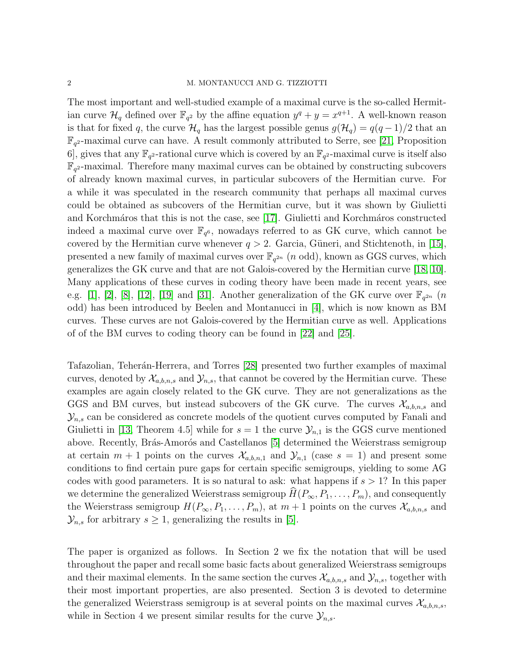The most important and well-studied example of a maximal curve is the so-called Hermitian curve  $\mathcal{H}_q$  defined over  $\mathbb{F}_{q^2}$  by the affine equation  $y^q + y = x^{q+1}$ . A well-known reason is that for fixed q, the curve  $\mathcal{H}_q$  has the largest possible genus  $g(\mathcal{H}_q) = q(q-1)/2$  that an  $\mathbb{F}_{q^2}$ -maximal curve can have. A result commonly attributed to Serre, see [\[21,](#page-19-1) Proposition 6, gives that any  $\mathbb{F}_{q^2}$ -rational curve which is covered by an  $\mathbb{F}_{q^2}$ -maximal curve is itself also  $\mathbb{F}_{q^2}$ -maximal. Therefore many maximal curves can be obtained by constructing subcovers of already known maximal curves, in particular subcovers of the Hermitian curve. For a while it was speculated in the research community that perhaps all maximal curves could be obtained as subcovers of the Hermitian curve, but it was shown by Giulietti and Korchmáros that this is not the case, see [\[17\]](#page-19-2). Giulietti and Korchmáros constructed indeed a maximal curve over  $\mathbb{F}_{q^6}$ , nowadays referred to as GK curve, which cannot be covered by the Hermitian curve whenever  $q > 2$ . Garcia, Güneri, and Stichtenoth, in [\[15\]](#page-19-3), presented a new family of maximal curves over  $\mathbb{F}_{q^{2n}}$  (*n* odd), known as GGS curves, which generalizes the GK curve and that are not Galois-covered by the Hermitian curve [\[18,](#page-19-4) [10\]](#page-19-5). Many applications of these curves in coding theory have been made in recent years, see e.g. [\[1\]](#page-18-1), [\[2\]](#page-18-2), [\[8\]](#page-19-6), [\[12\]](#page-19-7), [\[19\]](#page-19-8) and [31]. Another generalization of the GK curve over  $\mathbb{F}_{q^{2n}}$  (*n* odd) has been introduced by Beelen and Montanucci in [\[4\]](#page-19-9), which is now known as BM curves. These curves are not Galois-covered by the Hermitian curve as well. Applications of of the BM curves to coding theory can be found in [\[22\]](#page-19-10) and [\[25\]](#page-20-3).

Tafazolian, Teherán-Herrera, and Torres [\[28\]](#page-20-0) presented two further examples of maximal curves, denoted by  $\mathcal{X}_{a,b,n,s}$  and  $\mathcal{Y}_{n,s}$ , that cannot be covered by the Hermitian curve. These examples are again closely related to the GK curve. They are not generalizations as the GGS and BM curves, but instead subcovers of the GK curve. The curves  $\mathcal{X}_{a,b,n,s}$  and  $\mathcal{Y}_{n,s}$  can be considered as concrete models of the quotient curves computed by Fanali and Giulietti in [\[13,](#page-19-11) Theorem 4.5] while for  $s = 1$  the curve  $\mathcal{Y}_{n,1}$  is the GGS curve mentioned above. Recently, Brás-Amorós and Castellanos [\[5\]](#page-19-12) determined the Weierstrass semigroup at certain  $m + 1$  points on the curves  $\mathcal{X}_{a,b,n,1}$  and  $\mathcal{Y}_{n,1}$  (case  $s = 1$ ) and present some conditions to find certain pure gaps for certain specific semigroups, yielding to some AG codes with good parameters. It is so natural to ask: what happens if  $s > 1$ ? In this paper we determine the generalized Weierstrass semigroup  $\hat{H}(P_{\infty}, P_1, \ldots, P_m)$ , and consequently the Weierstrass semigroup  $H(P_{\infty}, P_1, \ldots, P_m)$ , at  $m + 1$  points on the curves  $\mathcal{X}_{a,b,n,s}$  and  $\mathcal{Y}_{n,s}$  for arbitrary  $s \geq 1$ , generalizing the results in [\[5\]](#page-19-12).

The paper is organized as follows. In Section 2 we fix the notation that will be used throughout the paper and recall some basic facts about generalized Weierstrass semigroups and their maximal elements. In the same section the curves  $\mathcal{X}_{a,b,n,s}$  and  $\mathcal{Y}_{n,s}$ , together with their most important properties, are also presented. Section 3 is devoted to determine the generalized Weierstrass semigroup is at several points on the maximal curves  $\mathcal{X}_{a,b,n,s}$ , while in Section 4 we present similar results for the curve  $\mathcal{Y}_{n,s}$ .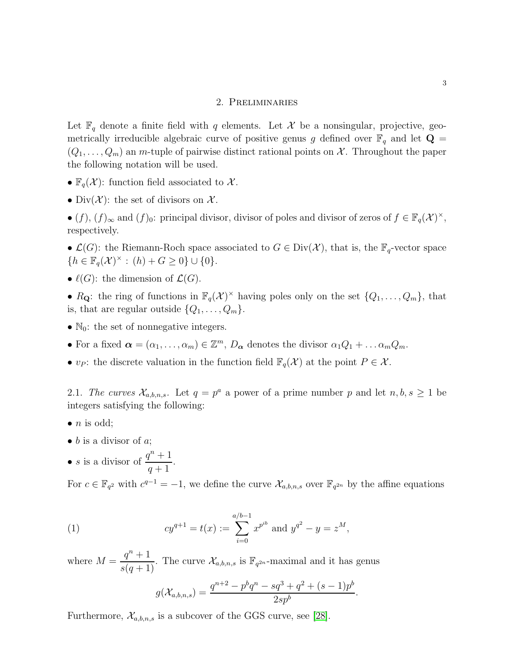#### 2. Preliminaries

Let  $\mathbb{F}_q$  denote a finite field with q elements. Let X be a nonsingular, projective, geometrically irreducible algebraic curve of positive genus g defined over  $\mathbb{F}_q$  and let  $\mathbf{Q} =$  $(Q_1, \ldots, Q_m)$  an m-tuple of pairwise distinct rational points on X. Throughout the paper the following notation will be used.

- $\mathbb{F}_q(\mathcal{X})$ : function field associated to X.
- Div $(X)$ : the set of divisors on X.
- $(f)$ ,  $(f)_{\infty}$  and  $(f)_{0}$ : principal divisor, divisor of poles and divisor of zeros of  $f \in \mathbb{F}_{q}(\mathcal{X})^{\times}$ , respectively.

•  $\mathcal{L}(G)$ : the Riemann-Roch space associated to  $G \in Div(\mathcal{X})$ , that is, the  $\mathbb{F}_q$ -vector space  $\{h \in \mathbb{F}_q(\mathcal{X})^{\times} : (h) + G \geq 0\} \cup \{0\}.$ 

•  $\ell(G)$ : the dimension of  $\mathcal{L}(G)$ .

•  $R_{\mathbf{Q}}$ : the ring of functions in  $\mathbb{F}_q(\mathcal{X})^{\times}$  having poles only on the set  $\{Q_1, \ldots, Q_m\}$ , that is, that are regular outside  $\{Q_1, \ldots, Q_m\}.$ 

- $\mathbb{N}_0$ : the set of nonnegative integers.
- For a fixed  $\boldsymbol{\alpha} = (\alpha_1, \dots, \alpha_m) \in \mathbb{Z}^m$ ,  $D_{\boldsymbol{\alpha}}$  denotes the divisor  $\alpha_1 Q_1 + \dots \alpha_m Q_m$ .
- <span id="page-2-0"></span>•  $v_P$ : the discrete valuation in the function field  $\mathbb{F}_q(\mathcal{X})$  at the point  $P \in \mathcal{X}$ .

2.1. The curves  $\mathcal{X}_{a,b,n,s}$ . Let  $q = p^a$  a power of a prime number p and let  $n, b, s \ge 1$  be integers satisfying the following:

- $\bullet$  *n* is odd;
- $\bullet$  b is a divisor of a;
- *s* is a divisor of  $\frac{q^n+1}{q+1}$  $q+1$ .

For  $c \in \mathbb{F}_{q^2}$  with  $c^{q-1} = -1$ , we define the curve  $\mathcal{X}_{a,b,n,s}$  over  $\mathbb{F}_{q^{2n}}$  by the affine equations

(1) 
$$
cy^{q+1} = t(x) := \sum_{i=0}^{a/b-1} x^{p^{ib}} \text{ and } y^{q^2} - y = z^M,
$$

where  $M =$  $q^n + 1$  $\frac{q}{s(q+1)}$ . The curve  $\mathcal{X}_{a,b,n,s}$  is  $\mathbb{F}_{q^{2n}}$ -maximal and it has genus

$$
g(\mathcal{X}_{a,b,n,s}) = \frac{q^{n+2} - p^b q^n - s q^3 + q^2 + (s-1)p^b}{2s p^b}.
$$

Furthermore,  $\mathcal{X}_{a,b,n,s}$  is a subcover of the GGS curve, see [\[28\]](#page-20-0).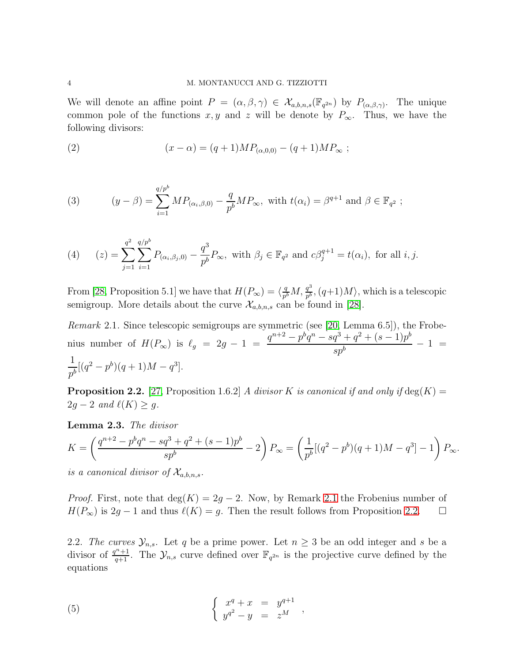We will denote an affine point  $P = (\alpha, \beta, \gamma) \in \mathcal{X}_{a,b,n,s}(\mathbb{F}_{q^{2n}})$  by  $P_{(\alpha,\beta,\gamma)}$ . The unique common pole of the functions x, y and z will be denote by  $P_{\infty}$ . Thus, we have the following divisors:

(2) 
$$
(x - \alpha) = (q + 1)MP_{(\alpha,0,0)} - (q + 1)MP_{\infty} ;
$$

(3) 
$$
(y - \beta) = \sum_{i=1}^{q/p^b} MP_{(\alpha_i, \beta, 0)} - \frac{q}{p^b} MP_{\infty}, \text{ with } t(\alpha_i) = \beta^{q+1} \text{ and } \beta \in \mathbb{F}_{q^2};
$$

<span id="page-3-3"></span>(4) 
$$
(z) = \sum_{j=1}^{q^2} \sum_{i=1}^{q/p^b} P_{(\alpha_i, \beta_j, 0)} - \frac{q^3}{p^b} P_{\infty}, \text{ with } \beta_j \in \mathbb{F}_{q^2} \text{ and } c\beta_j^{q+1} = t(\alpha_i), \text{ for all } i, j.
$$

From [\[28,](#page-20-0) Proposition 5.1] we have that  $H(P_\infty) = \langle \frac{q}{p^h} \rangle$  $\frac{q}{p^{b}}M, \frac{q^{3}}{p^{b}}$  $\frac{q^o}{p^b}$ ,  $(q+1)M$ , which is a telescopic semigroup. More details about the curve  $\mathcal{X}_{a,b,n,s}$  can be found in [\[28\]](#page-20-0).

<span id="page-3-0"></span>Remark 2.1. Since telescopic semigroups are symmetric (see [\[20,](#page-19-13) Lemma 6.5]), the Frobenius number of  $H(P_{\infty})$  is  $\ell_g = 2g - 1 =$  $q^{n+2} - p^b q^n - s q^3 + q^2 + (s - 1)p^b$  $\frac{q^{1+q-1} (z^2-1)^p}{s p^b} - 1 =$ 1  $\frac{1}{p^b}[(q^2-p^b)(q+1)M-q^3].$ 

<span id="page-3-1"></span>**Proposition 2.2.** [\[27,](#page-20-4) Proposition 1.6.2] A divisor K is canonical if and only if  $\deg(K)$  =  $2g - 2$  and  $\ell(K) \geq g$ .

<span id="page-3-2"></span>Lemma 2.3. The divisor

$$
K = \left(\frac{q^{n+2} - p^b q^n - s q^3 + q^2 + (s-1)p^b}{s p^b} - 2\right) P_{\infty} = \left(\frac{1}{p^b} [(q^2 - p^b)(q+1)M - q^3] - 1\right) P_{\infty}.
$$

is a canonical divisor of  $\mathcal{X}_{a,b,n,s}$ .

*Proof.* First, note that deg(K) = 2g – 2. Now, by Remark [2.1](#page-3-0) the Frobenius number of  $H(P_{\infty})$  is  $2q - 1$  and thus  $\ell(K) = q$ . Then the result follows from Proposition 2.2.  $H(P_{\infty})$  is 2g – 1 and thus  $\ell(K) = g$ . Then the result follows from Proposition [2.2.](#page-3-1)

2.2. The curves  $\mathcal{Y}_{n,s}$ . Let q be a prime power. Let  $n \geq 3$  be an odd integer and s be a divisor of  $\frac{q^n+1}{q+1}$ . The  $\mathcal{Y}_{n,s}$  curve defined over  $\mathbb{F}_{q^{2n}}$  is the projective curve defined by the equations

(5) 
$$
\begin{cases} x^q + x = y^{q+1} \\ y^{q^2} - y = z^M \end{cases}
$$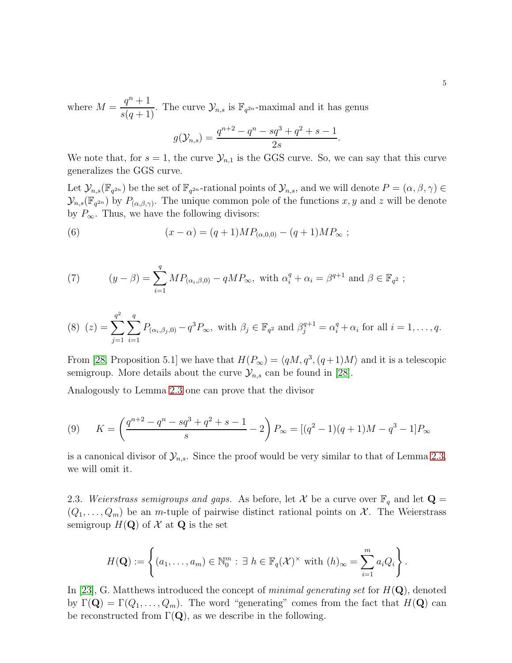where  $M =$  $q^n + 1$  $\frac{q}{s(q+1)}$ . The curve  $\mathcal{Y}_{n,s}$  is  $\mathbb{F}_{q^{2n}}$ -maximal and it has genus

$$
g(\mathcal{Y}_{n,s}) = \frac{q^{n+2} - q^n - sq^3 + q^2 + s - 1}{2s}.
$$

We note that, for  $s = 1$ , the curve  $\mathcal{Y}_{n,1}$  is the GGS curve. So, we can say that this curve generalizes the GGS curve.

Let  $\mathcal{Y}_{n,s}(\mathbb{F}_{q^{2n}})$  be the set of  $\mathbb{F}_{q^{2n}}$ -rational points of  $\mathcal{Y}_{n,s}$ , and we will denote  $P = (\alpha, \beta, \gamma) \in$  $\mathcal{Y}_{n,s}(\mathbb{F}_{q^{2n}})$  by  $P_{(\alpha,\beta,\gamma)}$ . The unique common pole of the functions  $x, y$  and  $z$  will be denote by  $P_{\infty}$ . Thus, we have the following divisors:

(6) 
$$
(x - \alpha) = (q + 1)MP_{(\alpha,0,0)} - (q + 1)MP_{\infty} ;
$$

(7) 
$$
(y - \beta) = \sum_{i=1}^{q} MP_{(\alpha_i, \beta, 0)} - qMP_{\infty}, \text{ with } \alpha_i^q + \alpha_i = \beta^{q+1} \text{ and } \beta \in \mathbb{F}_{q^2};
$$

<span id="page-4-1"></span>
$$
(8) (z) = \sum_{j=1}^{q^2} \sum_{i=1}^q P_{(\alpha_i, \beta_j, 0)} - q^3 P_{\infty}, \text{ with } \beta_j \in \mathbb{F}_{q^2} \text{ and } \beta_j^{q+1} = \alpha_i^q + \alpha_i \text{ for all } i = 1, ..., q.
$$

From [\[28,](#page-20-0) Proposition 5.1] we have that  $H(P_{\infty}) = \langle qM, q^3, (q+1)M \rangle$  and it is a telescopic semigroup. More details about the curve  $\mathcal{Y}_{n,s}$  can be found in [\[28\]](#page-20-0).

Analogously to Lemma [2.3](#page-3-2) one can prove that the divisor

(9) 
$$
K = \left(\frac{q^{n+2} - q^n - sq^3 + q^2 + s - 1}{s} - 2\right) P_{\infty} = \left[(q^2 - 1)(q + 1)M - q^3 - 1\right] P_{\infty}
$$

is a canonical divisor of  $\mathcal{Y}_{n,s}$ . Since the proof would be very similar to that of Lemma [2.3,](#page-3-2) we will omit it.

<span id="page-4-0"></span>2.3. Weierstrass semigroups and gaps. As before, let X be a curve over  $\mathbb{F}_q$  and let  $\mathbf{Q} =$  $(Q_1, \ldots, Q_m)$  be an m-tuple of pairwise distinct rational points on X. The Weierstrass semigroup  $H(\mathbf{Q})$  of X at  $\mathbf{Q}$  is the set

$$
H(\mathbf{Q}) := \left\{ (a_1, \ldots, a_m) \in \mathbb{N}_0^m : \exists h \in \mathbb{F}_q(\mathcal{X})^{\times} \text{ with } (h)_{\infty} = \sum_{i=1}^m a_i Q_i \right\}.
$$

In [\[23\]](#page-20-5), G. Matthews introduced the concept of *minimal generating set* for  $H(\mathbf{Q})$ , denoted by  $\Gamma(\mathbf{Q}) = \Gamma(Q_1, \ldots, Q_m)$ . The word "generating" comes from the fact that  $H(\mathbf{Q})$  can be reconstructed from  $\Gamma(Q)$ , as we describe in the following.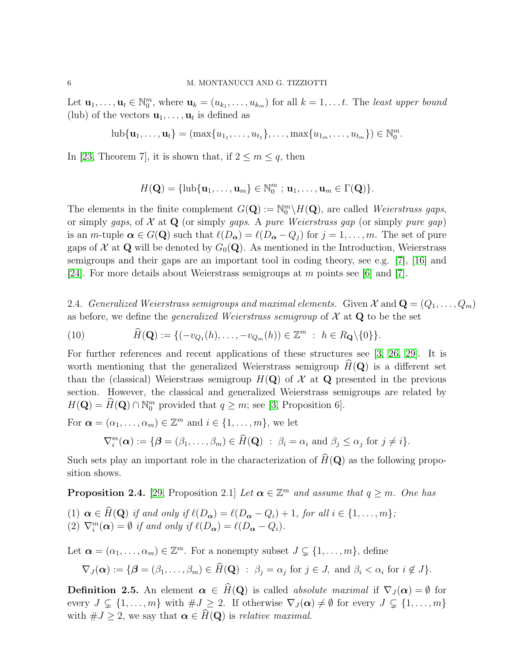Let  $\mathbf{u}_1, \ldots, \mathbf{u}_t \in \mathbb{N}_0^m$ , where  $\mathbf{u}_k = (u_{k_1}, \ldots, u_{k_m})$  for all  $k = 1, \ldots t$ . The least upper bound (lub) of the vectors  $\mathbf{u}_1, \ldots, \mathbf{u}_t$  is defined as

$$
\mathrm{lub}\{\mathbf{u}_1,\ldots,\mathbf{u}_t\} = (\max\{u_{1_1},\ldots,u_{t_1}\},\ldots,\max\{u_{1_m},\ldots,u_{t_m}\}) \in \mathbb{N}_0^m.
$$

In [\[23,](#page-20-5) Theorem 7], it is shown that, if  $2 \le m \le q$ , then

$$
H(\mathbf{Q}) = {\text{lub}\{\mathbf{u}_1,\ldots,\mathbf{u}_m\}} \in \mathbb{N}_0^m \; ; \, \mathbf{u}_1,\ldots,\mathbf{u}_m \in \Gamma(\mathbf{Q})\}.
$$

The elements in the finite complement  $G(\mathbf{Q}) := \mathbb{N}_0^m \backslash H(\mathbf{Q})$ , are called Weierstrass gaps, or simply gaps, of  $\mathcal X$  at Q (or simply gaps. A pure Weierstrass gap (or simply pure gap) is an m-tuple  $\alpha \in G(\mathbf{Q})$  such that  $\ell(D_{\alpha}) = \ell(D_{\alpha} - Q_i)$  for  $j = 1, \ldots, m$ . The set of pure gaps of  $\mathcal X$  at Q will be denoted by  $G_0(\mathbf Q)$ . As mentioned in the Introduction, Weierstrass semigroups and their gaps are an important tool in coding theory, see e.g. [\[7\]](#page-19-14), [\[16\]](#page-19-15) and [\[24\]](#page-20-6). For more details about Weierstrass semigroups at m points see [\[6\]](#page-19-16) and [\[7\]](#page-19-14).

<span id="page-5-1"></span>2.4. Generalized Weierstrass semigroups and maximal elements. Given  $\mathcal{X}$  and  $\mathbf{Q} = (Q_1, \ldots, Q_m)$ as before, we define the *generalized Weierstrass semigroup* of  $X$  at  $Q$  to be the set

(10) 
$$
\widehat{H}(\mathbf{Q}) := \{ (-v_{Q_1}(h), \dots, -v_{Q_m}(h)) \in \mathbb{Z}^m : h \in R_{\mathbf{Q}} \setminus \{0\} \}.
$$

For further references and recent applications of these structures see [\[3,](#page-18-0) [26,](#page-20-1) [29\]](#page-20-7). It is worth mentioning that the generalized Weierstrass semigroup  $H(\mathbf{Q})$  is a different set than the (classical) Weierstrass semigroup  $H(Q)$  of X at Q presented in the previous section. However, the classical and generalized Weierstrass semigroups are related by  $H(\mathbf{Q}) = \overline{H}(\mathbf{Q}) \cap \mathbb{N}_0^m$  provided that  $q \geq m$ ; see [\[3,](#page-18-0) Proposition 6].

For  $\boldsymbol{\alpha} = (\alpha_1, \dots, \alpha_m) \in \mathbb{Z}^m$  and  $i \in \{1, \dots, m\}$ , we let

$$
\nabla_i^m(\boldsymbol{\alpha}) := \{ \boldsymbol{\beta} = (\beta_1, \dots, \beta_m) \in \widehat{H}(\mathbf{Q}) \; : \; \beta_i = \alpha_i \text{ and } \beta_j \leq \alpha_j \text{ for } j \neq i \}.
$$

Such sets play an important role in the characterization of  $\widehat{H}(\mathbf{Q})$  as the following proposition shows.

<span id="page-5-2"></span>**Proposition 2.4.** [\[29,](#page-20-7) Proposition 2.1] Let  $\boldsymbol{\alpha} \in \mathbb{Z}^m$  and assume that  $q \geq m$ . One has

(1)  $\alpha \in \widehat{H}(\mathbf{Q})$  if and only if  $\ell(D_{\alpha}) = \ell(D_{\alpha} - Q_i) + 1$ , for all  $i \in \{1, ..., m\}$ ; (2)  $\nabla_i^m(\boldsymbol{\alpha}) = \emptyset$  if and only if  $\ell(D_{\boldsymbol{\alpha}}) = \ell(D_{\boldsymbol{\alpha}} - Q_i)$ .

Let  $\boldsymbol{\alpha} = (\alpha_1, \ldots, \alpha_m) \in \mathbb{Z}^m$ . For a nonempty subset  $J \subsetneq \{1, \ldots, m\}$ , define

$$
\nabla_J(\boldsymbol{\alpha}) := \{ \boldsymbol{\beta} = (\beta_1, \dots, \beta_m) \in \tilde{H}(\mathbf{Q}) \; : \; \beta_j = \alpha_j \text{ for } j \in J, \text{ and } \beta_i < \alpha_i \text{ for } i \notin J \}.
$$

<span id="page-5-0"></span>**Definition 2.5.** An element  $\alpha \in \widehat{H}(\mathbf{Q})$  is called absolute maximal if  $\nabla_J(\alpha) = \emptyset$  for every  $J \subsetneq \{1, \ldots, m\}$  with  $\#J \geq 2$ . If otherwise  $\nabla_J(\alpha) \neq \emptyset$  for every  $J \subsetneq \{1, \ldots, m\}$ with  $\#J \geq 2$ , we say that  $\alpha \in \widehat{H}(\mathbf{Q})$  is relative maximal.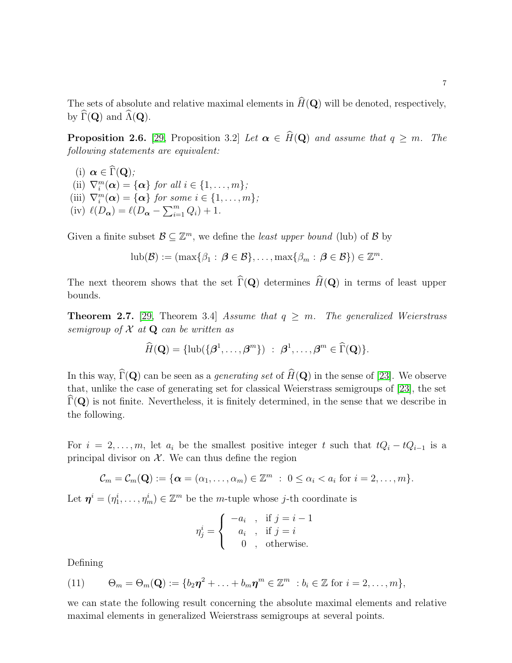The sets of absolute and relative maximal elements in  $\widehat{H}(\mathbf{Q})$  will be denoted, respectively, by  $\widehat{\Gamma}(\mathbf{Q})$  and  $\widehat{\Lambda}(\mathbf{Q})$ .

<span id="page-6-0"></span>**Proposition 2.6.** [\[29,](#page-20-7) Proposition 3.2] Let  $\alpha \in \widehat{H}(Q)$  and assume that  $q \geq m$ . The following statements are equivalent:

(i)  $\alpha \in \widehat{\Gamma}(\mathbf{Q})$ ; (ii)  $\nabla_i^m(\boldsymbol{\alpha}) = {\{\boldsymbol{\alpha}\}\}\text{ for all } i \in \{1, \ldots, m\};$ (iii)  $\nabla_i^m(\boldsymbol{\alpha}) = {\{\boldsymbol{\alpha}\}\}\text{ for some } i \in \{1, \ldots, m\};$ (iv)  $\ell(D_{\alpha}) = \ell(D_{\alpha} - \sum_{i=1}^{m} Q_i) + 1.$ 

Given a finite subset  $\mathcal{B} \subseteq \mathbb{Z}^m$ , we define the *least upper bound* (lub) of  $\mathcal{B}$  by

$$
\mathrm{lub}(\mathcal{B}) := (\max\{\beta_1 : \beta \in \mathcal{B}\}, \ldots, \max\{\beta_m : \beta \in \mathcal{B}\}) \in \mathbb{Z}^m.
$$

The next theorem shows that the set  $\widehat{\Gamma}(\mathbf{Q})$  determines  $\widehat{H}(\mathbf{Q})$  in terms of least upper bounds.

**Theorem 2.7.** [\[29,](#page-20-7) Theorem 3.4] Assume that  $q \geq m$ . The generalized Weierstrass semigroup of  $X$  at  $Q$  can be written as

$$
\widehat{H}(\mathbf{Q}) = {\rm lub}(\{\boldsymbol{\beta}^1,\ldots,\boldsymbol{\beta}^m\}) \; : \; \boldsymbol{\beta}^1,\ldots,\boldsymbol{\beta}^m \in \widehat{\Gamma}(\mathbf{Q})\}.
$$

In this way,  $\widehat{\Gamma}(\mathbf{Q})$  can be seen as a *generating set* of  $\widehat{H}(\mathbf{Q})$  in the sense of [\[23\]](#page-20-5). We observe that, unlike the case of generating set for classical Weierstrass semigroups of [\[23\]](#page-20-5), the set  $\Gamma(Q)$  is not finite. Nevertheless, it is finitely determined, in the sense that we describe in the following.

For  $i = 2, \ldots, m$ , let  $a_i$  be the smallest positive integer t such that  $tQ_i - tQ_{i-1}$  is a principal divisor on  $\mathcal{X}$ . We can thus define the region

$$
\mathcal{C}_m=\mathcal{C}_m(\mathbf{Q}):=\{\boldsymbol{\alpha}=(\alpha_1,\ldots,\alpha_m)\in\mathbb{Z}^m\;:\;0\leq\alpha_i
$$

Let  $\boldsymbol{\eta}^i = (\eta^i_1, \dots, \eta^i_m) \in \mathbb{Z}^m$  be the *m*-tuple whose *j*-th coordinate is

$$
\eta_j^i = \begin{cases}\n-a_i, & \text{if } j = i - 1 \\
a_i, & \text{if } j = i \\
0, & \text{otherwise.} \n\end{cases}
$$

Defining

(11) 
$$
\Theta_m = \Theta_m(\mathbf{Q}) := \{b_2\eta^2 + \ldots + b_m\eta^m \in \mathbb{Z}^m : b_i \in \mathbb{Z} \text{ for } i = 2,\ldots,m\},\
$$

we can state the following result concerning the absolute maximal elements and relative maximal elements in generalized Weierstrass semigroups at several points.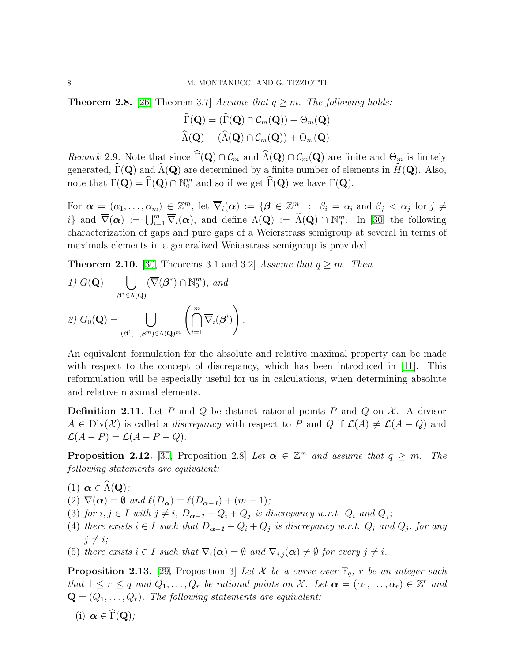<span id="page-7-1"></span>**Theorem 2.8.** [\[26,](#page-20-1) Theorem 3.7] Assume that  $q \geq m$ . The following holds:

$$
\widehat{\Gamma}(\mathbf{Q}) = (\widehat{\Gamma}(\mathbf{Q}) \cap \mathcal{C}_m(\mathbf{Q})) + \Theta_m(\mathbf{Q})
$$
  

$$
\widehat{\Lambda}(\mathbf{Q}) = (\widehat{\Lambda}(\mathbf{Q}) \cap \mathcal{C}_m(\mathbf{Q})) + \Theta_m(\mathbf{Q}).
$$

<span id="page-7-2"></span>Remark 2.9. Note that since  $\widehat{\Gamma}(\mathbf{Q}) \cap \mathcal{C}_m$  and  $\widehat{\Lambda}(\mathbf{Q}) \cap \mathcal{C}_m(\mathbf{Q})$  are finite and  $\Theta_m$  is finitely generated,  $\widehat{\Gamma}(\mathbf{Q})$  and  $\widehat{\Lambda}(\mathbf{Q})$  are determined by a finite number of elements in  $\widehat{H}(\mathbf{Q})$ . Also, note that  $\Gamma(\mathbf{Q}) = \Gamma(\mathbf{Q}) \cap \mathbb{N}_0^m$  and so if we get  $\Gamma(\mathbf{Q})$  we have  $\Gamma(\mathbf{Q})$ .

For  $\boldsymbol{\alpha} = (\alpha_1, \ldots, \alpha_m) \in \mathbb{Z}^m$ , let  $\overline{\nabla}_i(\boldsymbol{\alpha}) := \{ \boldsymbol{\beta} \in \mathbb{Z}_+^m \; : \; \beta_i = \alpha_i \text{ and } \beta_j < \alpha_j \text{ for } j \neq j \}$ i} and  $\overline{\nabla}(\boldsymbol{\alpha}) := \bigcup_{i=1}^m \overline{\nabla}_i(\boldsymbol{\alpha})$ , and define  $\Lambda(\mathbf{Q}) := \widehat{\Lambda}(\mathbf{Q}) \cap \mathbb{N}_0^m$ . In [\[30\]](#page-20-2) the following characterization of gaps and pure gaps of a Weierstrass semigroup at several in terms of maximals elements in a generalized Weierstrass semigroup is provided.

<span id="page-7-4"></span>**Theorem 2.10.** [\[30,](#page-20-2) Theorems 3.1 and 3.2] Assume that  $q \geq m$ . Then

1) 
$$
G(\mathbf{Q}) = \bigcup_{\boldsymbol{\beta}^* \in \Lambda(\mathbf{Q})} (\overline{\nabla}(\boldsymbol{\beta}^*) \cap \mathbb{N}_0^m), \text{ and}
$$
  
\n2)  $G_0(\mathbf{Q}) = \bigcup_{(\boldsymbol{\beta}^1, \dots, \boldsymbol{\beta}^m) \in \Lambda(\mathbf{Q})^m} \left( \bigcap_{i=1}^m \overline{\nabla}_i(\boldsymbol{\beta}^i) \right).$ 

An equivalent formulation for the absolute and relative maximal property can be made with respect to the concept of discrepancy, which has been introduced in [\[11\]](#page-19-17). This reformulation will be especially useful for us in calculations, when determining absolute and relative maximal elements.

**Definition 2.11.** Let P and Q be distinct rational points P and Q on  $\mathcal{X}$ . A divisor  $A \in Div(X)$  is called a *discrepancy* with respect to P and Q if  $\mathcal{L}(A) \neq \mathcal{L}(A - Q)$  and  $\mathcal{L}(A-P) = \mathcal{L}(A-P-Q).$ 

<span id="page-7-3"></span>**Proposition 2.12.** [\[30,](#page-20-2) Proposition 2.8] Let  $\boldsymbol{\alpha} \in \mathbb{Z}^m$  and assume that  $q \geq m$ . The following statements are equivalent:

- (1)  $\alpha \in \widehat{\Lambda}(\mathbf{Q});$
- (2)  $\nabla(\boldsymbol{\alpha}) = \emptyset$  and  $\ell(D_{\boldsymbol{\alpha}}) = \ell(D_{\boldsymbol{\alpha}-1}) + (m-1);$
- (3) for  $i, j \in I$  with  $j \neq i$ ,  $D_{\alpha-1} + Q_i + Q_j$  is discrepancy w.r.t.  $Q_i$  and  $Q_j$ ;
- (4) there exists  $i \in I$  such that  $D_{\alpha-1} + Q_i + Q_j$  is discrepancy w.r.t.  $Q_i$  and  $Q_j$ , for any  $j \neq i;$
- (5) there exists  $i \in I$  such that  $\nabla_i(\boldsymbol{\alpha}) = \emptyset$  and  $\nabla_{i,j}(\boldsymbol{\alpha}) \neq \emptyset$  for every  $j \neq i$ .

<span id="page-7-0"></span>**Proposition 2.13.** [\[29,](#page-20-7) Proposition 3] Let X be a curve over  $\mathbb{F}_q$ , r be an integer such that  $1 \leq r \leq q$  and  $Q_1, \ldots, Q_r$  be rational points on X. Let  $\boldsymbol{\alpha} = (\alpha_1, \ldots, \alpha_r) \in \mathbb{Z}^r$  and  $\mathbf{Q} = (Q_1, \ldots, Q_r)$ . The following statements are equivalent:

$$
(i) \ \boldsymbol{\alpha} \in \widehat{\Gamma}(\mathbf{Q});
$$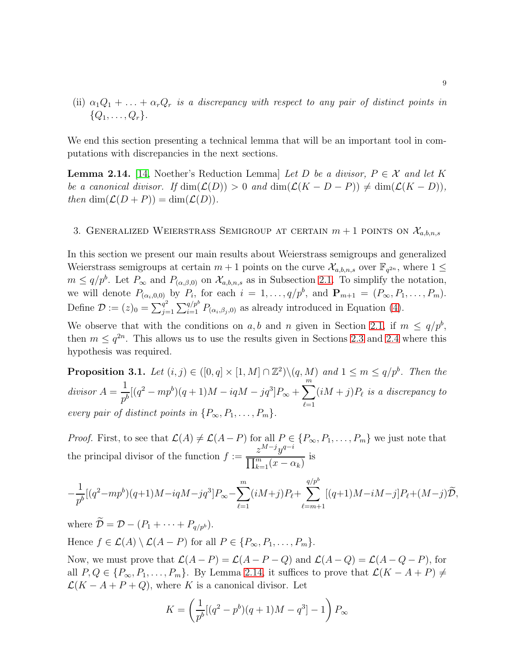(ii)  $\alpha_1Q_1 + \ldots + \alpha_rQ_r$  is a discrepancy with respect to any pair of distinct points in  $\{Q_1, \ldots, Q_r\}.$ 

We end this section presenting a technical lemma that will be an important tool in computations with discrepancies in the next sections.

<span id="page-8-0"></span>**Lemma 2.14.** [\[14,](#page-19-18) Noether's Reduction Lemma] Let D be a divisor,  $P \in \mathcal{X}$  and let K be a canonical divisor. If  $\dim(\mathcal{L}(D)) > 0$  and  $\dim(\mathcal{L}(K - D - P)) \neq \dim(\mathcal{L}(K - D)),$ then  $\dim(\mathcal{L}(D + P)) = \dim(\mathcal{L}(D)).$ 

### 3. GENERALIZED WEIERSTRASS SEMIGROUP AT CERTAIN  $m + 1$  points on  $\mathcal{X}_{a,b,n,s}$

In this section we present our main results about Weierstrass semigroups and generalized Weierstrass semigroups at certain  $m+1$  points on the curve  $\mathcal{X}_{a,b,n,s}$  over  $\mathbb{F}_{q^{2n}}$ , where  $1 \leq$  $m \leq q/p^b$ . Let  $P_{\infty}$  and  $P_{(\alpha,\beta,0)}$  on  $\mathcal{X}_{a,b,n,s}$  as in Subsection [2.1.](#page-2-0) To simplify the notation, we will denote  $P_{(\alpha_i,0,0)}$  by  $P_i$ , for each  $i=1,\ldots,q/p^b$ , and  $\mathbf{P}_{m+1}=(P_\infty,P_1,\ldots,P_m)$ . Define  $\mathcal{D}:=(z)_0=\sum_{j=1}^{q^2}$  $\frac{q^2}{j=1}\sum_{i=1}^{q/p^b} P_{(\alpha_i,\beta_j,0)}$  as already introduced in Equation [\(4\)](#page-3-3).

We observe that with the conditions on a, b and n given in Section [2.1,](#page-2-0) if  $m \le q/p^b$ , then  $m \leq q^{2n}$ . This allows us to use the results given in Sections [2.3](#page-4-0) and [2.4](#page-5-1) where this hypothesis was required.

<span id="page-8-1"></span>**Proposition 3.1.** Let  $(i, j) \in ([0, q] \times [1, M] \cap \mathbb{Z}^2) \setminus (q, M)$  and  $1 \leq m \leq q/p^b$ . Then the  $divisor A =$ 1  $\frac{1}{p^b}[(q^2 - mp^b)(q+1)M - iqM - jq^3]P_{\infty} + \sum_{s=1}^m$  $_{\ell=1}$  $(iM + j)P_{\ell}$  is a discrepancy to every pair of distinct points in  $\{P_{\infty}, P_1, \ldots, P_m\}.$ 

*Proof.* First, to see that  $\mathcal{L}(A) \neq \mathcal{L}(A - P)$  for all  $P \in \{P_{\infty}, P_1, \ldots, P_m\}$  we just note that the principal divisor of the function  $f :=$  $z^{M-j}y^{q-i}$  $\prod_{k=1}^m (x - \alpha_k)$ is

$$
-\frac{1}{p^{b}}[(q^{2}-mp^{b})(q+1)M-iqM-jq^{3}]P_{\infty}-\sum_{\ell=1}^{m}(iM+j)P_{\ell}+\sum_{\ell=m+1}^{q/p^{b}}[(q+1)M-iM-j]P_{\ell}+(M-j)\widetilde{D},
$$

where  $\widetilde{\mathcal{D}} = \mathcal{D} - (P_1 + \cdots + P_{q/p^b}).$ Hence  $f \in \mathcal{L}(A) \setminus \mathcal{L}(A - P)$  for all  $P \in \{P_{\infty}, P_1, \ldots, P_m\}.$ 

Now, we must prove that  $\mathcal{L}(A - P) = \mathcal{L}(A - P - Q)$  and  $\mathcal{L}(A - Q) = \mathcal{L}(A - Q - P)$ , for all  $P, Q \in \{P_{\infty}, P_1, \ldots, P_m\}$ . By Lemma [2.14,](#page-8-0) it suffices to prove that  $\mathcal{L}(K - A + P) \neq$  $\mathcal{L}(K - A + P + Q)$ , where K is a canonical divisor. Let

$$
K = \left(\frac{1}{p^{b}}[(q^{2} - p^{b})(q+1)M - q^{3}] - 1\right)P_{\infty}
$$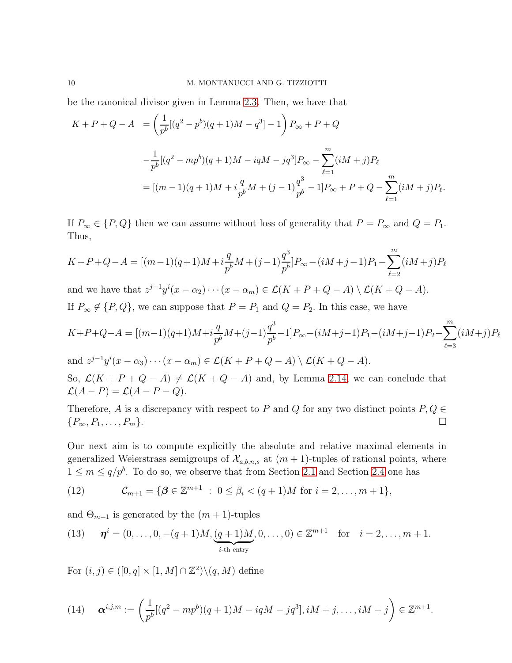be the canonical divisor given in Lemma [2.3.](#page-3-2) Then, we have that

$$
K + P + Q - A = \left(\frac{1}{p^b}[(q^2 - p^b)(q+1)M - q^3] - 1\right)P_{\infty} + P + Q
$$
  

$$
-\frac{1}{p^b}[(q^2 - mp^b)(q+1)M - iqM - jq^3]P_{\infty} - \sum_{\ell=1}^m (iM + j)P_{\ell}
$$
  

$$
= [(m-1)(q+1)M + i\frac{q}{p^b}M + (j-1)\frac{q^3}{p^b} - 1]P_{\infty} + P + Q - \sum_{\ell=1}^m (iM + j)P_{\ell}.
$$

If  $P_{\infty} \in \{P, Q\}$  then we can assume without loss of generality that  $P = P_{\infty}$  and  $Q = P_1$ . Thus,

$$
K + P + Q - A = [(m-1)(q+1)M + i\frac{q}{p^{b}}M + (j-1)\frac{q^{3}}{p^{b}}]P_{\infty} - (iM + j - 1)P_{1} - \sum_{\ell=2}^{m} (iM + j)P_{\ell}
$$

and we have that  $z^{j-1}y^{i}(x-\alpha_2)\cdots(x-\alpha_m) \in \mathcal{L}(K+P+Q-A) \setminus \mathcal{L}(K+Q-A).$ If  $P_{\infty} \notin \{P, Q\}$ , we can suppose that  $P = P_1$  and  $Q = P_2$ . In this case, we have

$$
K+P+Q-A = [(m-1)(q+1)M+i\frac{q}{p^b}M+(j-1)\frac{q^3}{p^b}-1]P_{\infty}-(iM+j-1)P_1-(iM+j-1)P_2-\sum_{\ell=3}^m(iM+j)P_{\ell}
$$

and 
$$
z^{j-1}y^{i}(x-\alpha_3)\cdots(x-\alpha_m) \in \mathcal{L}(K+P+Q-A) \setminus \mathcal{L}(K+Q-A).
$$
  
So,  $\mathcal{L}(K+P+Q-A) \neq \mathcal{L}(K+Q-A)$  and be Lence 2.14, we can

So,  $\mathcal{L}(K + P + Q - A) \neq \mathcal{L}(K + Q - A)$  and, by Lemma [2.14,](#page-8-0) we can conclude that  $\mathcal{L}(A-P) = \mathcal{L}(A-P-Q).$ 

Therefore, A is a discrepancy with respect to P and Q for any two distinct points  $P, Q \in \{P_{\infty}, P_1, \ldots, P_m\}$ .  ${P_\infty, P_1, \ldots, P_m}.$ 

Our next aim is to compute explicitly the absolute and relative maximal elements in generalized Weierstrass semigroups of  $\mathcal{X}_{a,b,n,s}$  at  $(m+1)$ -tuples of rational points, where  $1 \leq m \leq q/p^b$ . To do so, we observe that from Section [2.1](#page-2-0) and Section [2.4](#page-5-1) one has

<span id="page-9-0"></span>(12) 
$$
\mathcal{C}_{m+1} = \{ \boldsymbol{\beta} \in \mathbb{Z}^{m+1} : 0 \leq \beta_i < (q+1)M \text{ for } i = 2, ..., m+1 \},\
$$

and  $\Theta_{m+1}$  is generated by the  $(m+1)$ -tuples

<span id="page-9-2"></span>(13) 
$$
\boldsymbol{\eta}^i = (0, \ldots, 0, -(q+1)M, \underbrace{(q+1)M}_{i\text{-th entry}}, 0, \ldots, 0) \in \mathbb{Z}^{m+1} \text{ for } i = 2, \ldots, m+1.
$$

For  $(i, j) \in ([0, q] \times [1, M] \cap \mathbb{Z}^2) \setminus (q, M)$  define

<span id="page-9-1"></span>(14) 
$$
\mathbf{\alpha}^{i,j,m} := \left(\frac{1}{p^b}[(q^2 - mp^b)(q+1)M - iqM - jq^3], iM + j, \dots, iM + j\right) \in \mathbb{Z}^{m+1}.
$$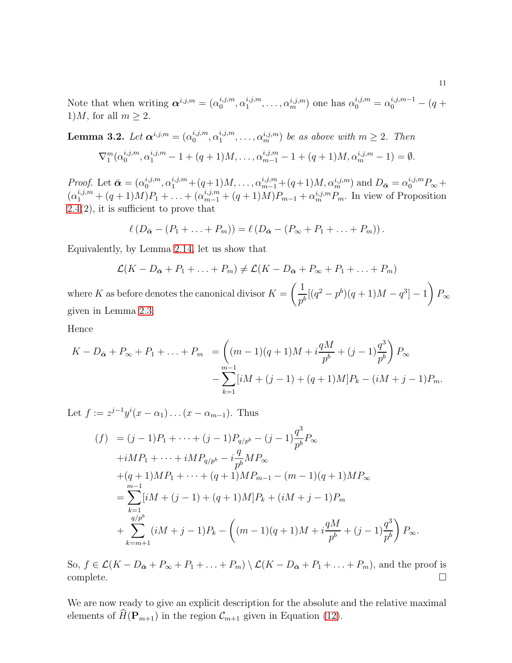Note that when writing  $\boldsymbol{\alpha}^{i,j,m} = (\alpha_0^{i,j,m})$  $\alpha_1^{i,j,m},\alpha_1^{i,j,m}$  $a_1^{i,j,m}, \ldots, a_m^{i,j,m}$  one has  $\alpha_0^{i,j,m} = \alpha_0^{i,j,m-1} - (q +$ 1)*M*, for all  $m \geq 2$ .

<span id="page-10-0"></span>**Lemma 3.2.** Let 
$$
\alpha^{i,j,m} = (\alpha_0^{i,j,m}, \alpha_1^{i,j,m}, \dots, \alpha_m^{i,j,m})
$$
 be as above with  $m \ge 2$ . Then  
\n
$$
\nabla_1^m (\alpha_0^{i,j,m}, \alpha_1^{i,j,m} - 1 + (q+1)M, \dots, \alpha_{m-1}^{i,j,m} - 1 + (q+1)M, \alpha_m^{i,j,m} - 1) = \emptyset.
$$

*Proof.* Let  $\bar{\boldsymbol{\alpha}} = (\alpha_0^{i,j,m})$  $\alpha_0^{i,j,m}, \alpha_1^{i,j,m} + (q+1)M, \ldots, \alpha_{m-1}^{i,j,m} + (q+1)M, \alpha_m^{i,j,m}$  and  $D_{\bar{\mathbf{\alpha}}} = \alpha_0^{i,j,m} P_{\infty} +$  $(\alpha_1^{i,j,m} + (q+1)M)P_1 + \ldots + (\alpha_{m-1}^{i,j,m} + (q+1)M)P_{m-1} + \alpha_m^{i,j,m}P_m$ . In view of Proposition [2.4\(](#page-5-2)2), it is sufficient to prove that

$$
\ell\left(D_{\bar{\boldsymbol{\alpha}}}-(P_1+\ldots+P_m)\right)=\ell\left(D_{\bar{\boldsymbol{\alpha}}}-\left(P_{\infty}+P_1+\ldots+P_m\right)\right).
$$

Equivalently, by Lemma [2.14,](#page-8-0) let us show that

$$
\mathcal{L}(K - D_{\bar{\alpha}} + P_1 + \dots + P_m) \neq \mathcal{L}(K - D_{\bar{\alpha}} + P_{\infty} + P_1 + \dots + P_m)
$$
  
where K as before denotes the canonical divisor  $K = \left(\frac{1}{p^b}[(q^2 - p^b)(q + 1)M - q^3] - 1\right)P_{\infty}$   
given in Lemma 2.3.

Hence

$$
K - D_{\bar{\alpha}} + P_{\infty} + P_1 + \ldots + P_m = \left( (m - 1)(q + 1)M + i\frac{qM}{p^b} + (j - 1)\frac{q^3}{p^b} \right) P_{\infty}
$$
  
- 
$$
\sum_{k=1}^{m-1} [iM + (j - 1) + (q + 1)M]P_k - (iM + j - 1)P_m.
$$

 $\overline{2}$ 

Let  $f := z^{j-1}y^{i}(x - \alpha_1)...(x - \alpha_{m-1})$ . Thus

$$
(f) = (j - 1)P_1 + \dots + (j - 1)P_{q/p^b} - (j - 1)\frac{q^3}{p^b}P_{\infty}
$$
  
+iMP\_1 + \dots + iMP\_{q/p^b} - i\frac{q}{p^b}MP\_{\infty}  
+ (q + 1)MP\_1 + \dots + (q + 1)MP\_{m-1} - (m - 1)(q + 1)MP\_{\infty}  
= \sum\_{k=1}^{m-1} [iM + (j - 1) + (q + 1)M]P\_k + (iM + j - 1)P\_m  
+ \sum\_{k=m+1}^{q/p^b} (iM + j - 1)P\_k - ((m - 1)(q + 1)M + i\frac{qM}{p^b} + (j - 1)\frac{q^3}{p^b})P\_{\infty}.

So,  $f \in \mathcal{L}(K - D_{\bar{\alpha}} + P_{\infty} + P_1 + \ldots + P_m) \setminus \mathcal{L}(K - D_{\bar{\alpha}} + P_1 + \ldots + P_m)$ , and the proof is complete.  $\Box$ complete.

We are now ready to give an explicit description for the absolute and the relative maximal elements of  $\widehat{H}(\mathbf{P}_{m+1})$  in the region  $\mathcal{C}_{m+1}$  given in Equation [\(12\)](#page-9-0).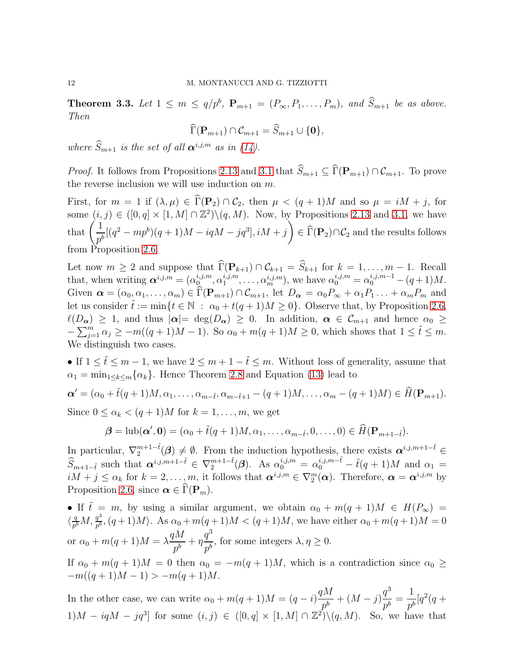**Theorem 3.3.** Let  $1 \leq m \leq q/p^b$ ,  $P_{m+1} = (P_{\infty}, P_1, \ldots, P_m)$ , and  $S_{m+1}$  be as above. Then

$$
\widehat{\Gamma}(\mathbf{P}_{m+1}) \cap \mathcal{C}_{m+1} = \widehat{S}_{m+1} \cup \{\mathbf{0}\},\
$$

where  $\widehat{S}_{m+1}$  is the set of all  $\alpha^{i,j,m}$  as in [\(14\)](#page-9-1).

*Proof.* It follows from Propositions [2.13](#page-7-0) and [3.1](#page-8-1) that  $\widehat{S}_{m+1} \subseteq \widehat{\Gamma}(\mathbf{P}_{m+1}) \cap \mathcal{C}_{m+1}$ . To prove the reverse inclusion we will use induction on m.

First, for  $m = 1$  if  $(\lambda, \mu) \in \widehat{\Gamma}(\mathbf{P}_2) \cap C_2$ , then  $\mu < (q+1)M$  and so  $\mu = iM + j$ , for some  $(i, j) \in ([0, q] \times [1, M] \cap \mathbb{Z}^2) \setminus (q, M)$ . Now, by Propositions [2.13](#page-7-0) and [3.1,](#page-8-1) we have that  $\left(\frac{1}{\tau}\right)$  $\frac{1}{p^b}[(q^2 - mp^b)(q+1)M - iqM - jq^3], iM + j$ )  $\in \Gamma(\mathbf{P}_2) \cap C_2$  and the results follows from Proposition [2.6.](#page-6-0)

Let now  $m \geq 2$  and suppose that  $\Gamma(\mathbf{P}_{k+1}) \cap C_{k+1} = S_{k+1}$  for  $k = 1, ..., m-1$ . Recall that, when writing  $\boldsymbol{\alpha}^{i,j,m} = (\alpha_0^{i,j,m})$  $\alpha_1^{i,j,m},\alpha_1^{i,j,m}$  $\alpha_1^{i,j,m}, \ldots, \alpha_m^{i,j,m}$ , we have  $\alpha_0^{i,j,m} = \alpha_0^{i,j,m-1} - (q+1)M$ . Given  $\boldsymbol{\alpha} = (\alpha_0, \alpha_1, \dots, \alpha_m) \in \Gamma(\mathbf{P}_{m+1}) \cap \mathcal{C}_{m+1}$ , let  $D_{\boldsymbol{\alpha}} = \alpha_0 P_{\infty} + \alpha_1 P_1 \dots + \alpha_m P_m$  and let us consider  $\tilde{t} := \min\{t \in \mathbb{N} : \alpha_0 + t(q+1)M \geq 0\}$ . Observe that, by Proposition [2.6,](#page-6-0)  $\ell(D_{\alpha}) \geq 1$ , and thus  $|\alpha| = \deg(D_{\alpha}) \geq 0$ . In addition,  $\alpha \in C_{m+1}$  and hence  $\alpha_0 \geq$  $-\sum_{j=1}^m \alpha_j \ge -m((q+1)M-1)$ . So  $\alpha_0 + m(q+1)M \ge 0$ , which shows that  $1 \le \tilde{t} \le m$ . We distinguish two cases.

• If  $1 \leq \tilde{t} \leq m-1$ , we have  $2 \leq m+1-\tilde{t} \leq m$ . Without loss of generality, assume that  $\alpha_1 = \min_{1 \leq k \leq m} {\alpha_k}$ . Hence Theorem [2.8](#page-7-1) and Equation [\(13\)](#page-9-2) lead to  $\alpha' = (\alpha_0 + \tilde{t}(q+1)M, \alpha_1, \ldots, \alpha_{m-\tilde{t}}, \alpha_{m-\tilde{t}+1} - (q+1)M, \ldots, \alpha_m - (q+1)M) \in \widehat{H}(\mathbf{P}_{m+1}).$ 

Since  $0 \leq \alpha_k \leq (q+1)M$  for  $k = 1, \ldots, m$ , we get

$$
\boldsymbol{\beta} = \text{lub}(\boldsymbol{\alpha}', \mathbf{0}) = (\alpha_0 + \tilde{t}(q+1)M, \alpha_1, \dots, \alpha_{m-\tilde{t}}, 0, \dots, 0) \in \widehat{H}(\mathbf{P}_{m+1-\tilde{t}}).
$$

In particular,  $\nabla_2^{m+1-\tilde{t}}(\boldsymbol{\beta}) \neq \emptyset$ . From the induction hypothesis, there exists  $\boldsymbol{\alpha}^{i,j,m+1-\tilde{t}} \in$  $\widehat{S}_{m+1-\tilde{t}}$  such that  $\boldsymbol{\alpha}^{i,j,m+1-\tilde{t}} \in \nabla_2^{m+1-\tilde{t}}(\boldsymbol{\beta})$ . As  $\alpha_0^{i,j,m} = \alpha_0^{i,j,m-\tilde{t}} - \tilde{t}(q+1)M$  and  $\alpha_1 =$  $iM + j \leq \alpha_k$  for  $k = 2, \ldots, m$ , it follows that  $\boldsymbol{\alpha}^{i,j,m} \in \nabla_2^m(\boldsymbol{\alpha})$ . Therefore,  $\boldsymbol{\alpha} = \boldsymbol{\alpha}^{i,j,m}$  by Proposition [2.6,](#page-6-0) since  $\alpha \in \Gamma(\mathbf{P}_m)$ .

• If  $\tilde{t} = m$ , by using a similar argument, we obtain  $\alpha_0 + m(q+1)M \in H(P_\infty)$  $\langle \frac{q}{p^l}$  $\frac{q}{p^b}M, \frac{q^3}{p^b}$  $\frac{q^o}{p^b}$ ,  $(q+1)M$ ). As  $\alpha_0 + m(q+1)M < (q+1)M$ , we have either  $\alpha_0 + m(q+1)M = 0$ or  $\alpha_0 + m(q+1)M = \lambda$  $qM$  $\frac{\partial}{\partial p^b} + \eta$  $q^3$  $\frac{q}{p^b}$ , for some integers  $\lambda, \eta \geq 0$ .

If  $\alpha_0 + m(q+1)M = 0$  then  $\alpha_0 = -m(q+1)M$ , which is a contradiction since  $\alpha_0 \geq$  $-m((q+1)M-1) > -m(q+1)M$ .

In the other case, we can write  $\alpha_0 + m(q+1)M = (q - i)$  $qM$  $\frac{p^{h}}{p^{b}} + (M - j)$  $q^3$  $\frac{q}{p^b} =$ 1  $\frac{1}{p^b}[q^2(q+$  $1)M - iqM - jq<sup>3</sup>$  for some  $(i, j) \in ([0, q] \times [1, M] \cap \mathbb{Z}^2) \setminus (q, M)$ . So, we have that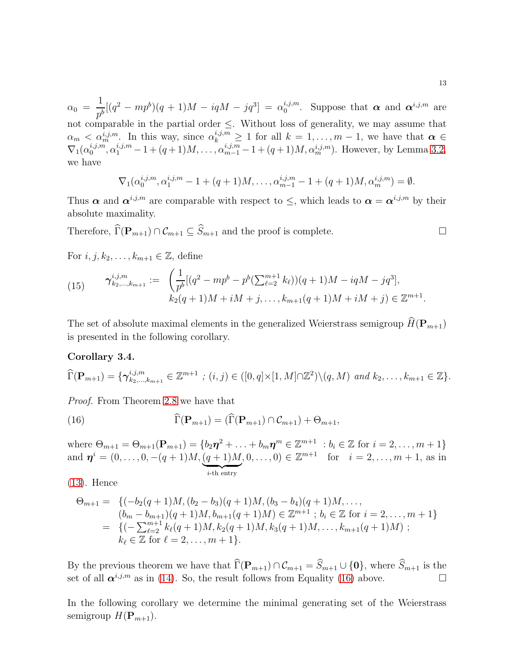$\alpha_0 =$ 1  $\frac{1}{p^b}[(q^2 - mp^b)(q+1)M - iqM - jq^3] = \alpha_0^{i,j,m}$ <sup>*i*,*j*,*m*</sup>. Suppose that  $\boldsymbol{\alpha}$  and  $\boldsymbol{\alpha}^{i,j,m}$  are not comparable in the partial order  $\leq$ . Without loss of generality, we may assume that  $\alpha_m < \alpha_m^{i,j,m}$ . In this way, since  $\alpha_k^{i,j,m} \ge 1$  for all  $k = 1, \ldots, m-1$ , we have that  $\alpha \in$  $\nabla_1(\alpha_0^{i,j,m})$  $\alpha_0^{i,j,m}, \alpha_1^{i,j,m} - 1 + (q+1)M, \ldots, \alpha_{m-1}^{i,j,m} - 1 + (q+1)M, \alpha_m^{i,j,m}$ ). However, by Lemma [3.2,](#page-10-0) we have

$$
\nabla_1(\alpha_0^{i,j,m},\alpha_1^{i,j,m}-1+(q+1)M,\ldots,\alpha_{m-1}^{i,j,m}-1+(q+1)M,\alpha_m^{i,j,m})=\emptyset.
$$

Thus  $\alpha$  and  $\alpha^{i,j,m}$  are comparable with respect to  $\leq$ , which leads to  $\alpha = \alpha^{i,j,m}$  by their absolute maximality.

Therefore,  $\widehat{\Gamma}(\mathbf{P}_{m+1}) \cap \mathcal{C}_{m+1} \subseteq \widehat{S}_{m+1}$  and the proof is complete.

For  $i, j, k_2, \ldots, k_{m+1} \in \mathbb{Z}$ , define

(15) 
$$
\gamma_{k_2,\dots,k_{m+1}}^{i,j,m} := \left( \frac{1}{p^b} [(q^2 - mp^b - p^b(\sum_{\ell=2}^{m+1} k_\ell))(q+1)M - iqM - jq^3], \right. \\ k_2(q+1)M + iM + j, \dots, k_{m+1}(q+1)M + iM + j) \in \mathbb{Z}^{m+1}.
$$

The set of absolute maximal elements in the generalized Weierstrass semigroup  $\widehat{H}(\mathbf{P}_{m+1})$ is presented in the following corollary.

### <span id="page-12-1"></span>Corollary 3.4.

$$
\widehat{\Gamma}(\mathbf{P}_{m+1}) = \{ \gamma_{k_2,\dots,k_{m+1}}^{i,j,m} \in \mathbb{Z}^{m+1} \; ; \; (i,j) \in ([0,q] \times [1,M] \cap \mathbb{Z}^2) \setminus (q,M) \; \text{and} \; k_2,\dots,k_{m+1} \in \mathbb{Z} \}.
$$

Proof. From Theorem [2.8](#page-7-1) we have that

<span id="page-12-0"></span>(16) 
$$
\widehat{\Gamma}(\mathbf{P}_{m+1}) = (\widehat{\Gamma}(\mathbf{P}_{m+1}) \cap \mathcal{C}_{m+1}) + \Theta_{m+1},
$$

where  $\Theta_{m+1} = \Theta_{m+1}(\mathbf{P}_{m+1}) = \{b_2\eta^2 + \ldots + b_m\eta^m \in \mathbb{Z}^{m+1} : b_i \in \mathbb{Z} \text{ for } i = 2, \ldots, m+1\}$ and  $\boldsymbol{\eta}^i = (0,\ldots,0,-(q+1)M,\underbrace{(q+1)M}_{i\text{-th entry}}$  $(0, \ldots, 0) \in \mathbb{Z}^{m+1}$  for  $i = 2, \ldots, m+1$ , as in

[\(13\)](#page-9-2). Hence

$$
\Theta_{m+1} = \left\{ (-b_2(q+1)M, (b_2 - b_3)(q+1)M, (b_3 - b_4)(q+1)M, \dots, (b_m - b_{m+1})(q+1)M, b_{m+1}(q+1)M) \in \mathbb{Z}^{m+1} \; ; \; b_i \in \mathbb{Z} \text{ for } i = 2, \dots, m+1 \right\}
$$
\n
$$
= \left\{ (-\sum_{\ell=2}^{m+1} k_{\ell}(q+1)M, k_2(q+1)M, k_3(q+1)M, \dots, k_{m+1}(q+1)M) \; ; \; k_{\ell} \in \mathbb{Z} \text{ for } \ell = 2, \dots, m+1 \right\}.
$$

By the previous theorem we have that  $\widehat{\Gamma}(\mathbf{P}_{m+1}) \cap \mathcal{C}_{m+1} = \widehat{S}_{m+1} \cup \{\mathbf{0}\}$ , where  $\widehat{S}_{m+1}$  is the set of all  $\alpha^{i,j,m}$  as in [\(14\)](#page-9-1). So, the result follows from Equality [\(16\)](#page-12-0) above.

In the following corollary we determine the minimal generating set of the Weierstrass semigroup  $H(\mathbf{P}_{m+1})$ .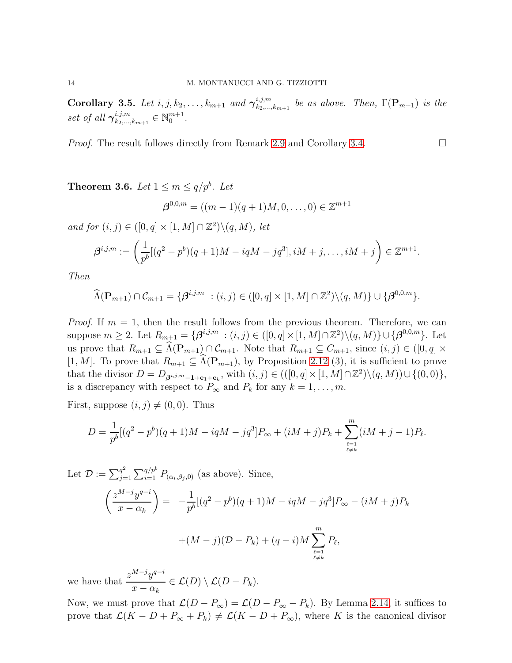Corollary 3.5. Let  $i, j, k_2, \ldots, k_{m+1}$  and  $\gamma_{k_2, \ldots, k_m}^{i, j, m}$  $\sum_{k_2,...,k_{m+1}}^{i,j,m}$  be as above. Then,  $\Gamma(\mathbf{P}_{m+1})$  is the set of all  $\gamma^{i,j,m}_{k_2,\dots}$  $a_{k_2,...,k_{m+1}}^{i,j,m} \in \mathbb{N}_0^{m+1}$ .

*Proof.* The result follows directly from Remark [2.9](#page-7-2) and Corollary [3.4.](#page-12-1)

**Theorem 3.6.** Let  $1 \leq m \leq q/p^b$ . Let

$$
\boldsymbol{\beta}^{0,0,m} = ((m-1)(q+1)M,0,\ldots,0) \in \mathbb{Z}^{m+1}
$$

and for  $(i, j) \in ([0, q] \times [1, M] \cap \mathbb{Z}^2) \setminus (q, M)$ , let

$$
\beta^{i,j,m} := \left(\frac{1}{p^b}[(q^2 - p^b)(q+1)M - iqM - jq^3], iM + j, \dots, iM + j\right) \in \mathbb{Z}^{m+1}.
$$

Then

 $\widehat{\Lambda}(\mathbf{P}_{m+1}) \cap \mathcal{C}_{m+1} = \{ \boldsymbol{\beta}^{i,j,m} \ : (i,j) \in ([0,q] \times [1,M] \cap \mathbb{Z}^2) \setminus (q,M) \} \cup \{ \boldsymbol{\beta}^{0,0,m} \}.$ 

*Proof.* If  $m = 1$ , then the result follows from the previous theorem. Therefore, we can suppose  $m \ge 2$ . Let  $R_{m+1} = \{ \boldsymbol{\beta}^{i,j,m} : (i,j) \in ([0,q] \times [1,M] \cap \mathbb{Z}^2) \setminus (q,M) \} \cup \{ \boldsymbol{\beta}^{0,0,m} \}.$  Let us prove that  $R_{m+1} \subseteq \widehat{\Lambda}(\mathbf{P}_{m+1}) \cap \mathcal{C}_{m+1}$ . Note that  $R_{m+1} \subseteq C_{m+1}$ , since  $(i, j) \in ([0, q] \times$ [1, M]. To prove that  $R_{m+1} \subseteq \widehat{\Lambda}(\mathbf{P}_{m+1}),$  by Proposition [2.12](#page-7-3) (3), it is sufficient to prove that the divisor  $D = D_{\beta^{i,j,m}-1+\mathbf{e}_1+\mathbf{e}_k}$ , with  $(i,j) \in (([0,q] \times [1,M] \cap \mathbb{Z}^2) \setminus (q,M)) \cup \{(0,0)\},$ is a discrepancy with respect to  $P_{\infty}$  and  $P_k$  for any  $k = 1, ..., m$ .

First, suppose  $(i, j) \neq (0, 0)$ . Thus

$$
D = \frac{1}{p^b} [(q^2 - p^b)(q+1)M - iqM - jq^3]P_{\infty} + (iM + j)P_k + \sum_{\substack{\ell=1 \\ \ell \neq k}}^m (iM + j - 1)P_{\ell}.
$$

Let  $\mathcal{D} := \sum_{j=1}^{q^2}$  $_{j=1}^{q^2} \sum_{i=1}^{q/p^b} P_{(\alpha_i,\beta_j,0)}$  (as above). Since,

$$
\left(\frac{z^{M-j}y^{q-i}}{x-\alpha_k}\right) = -\frac{1}{p^b}[(q^2-p^b)(q+1)M - iqM - jq^3]P_{\infty} - (iM+j)P_k
$$

$$
+(M-j)(D-P_k) + (q-i)M\sum_{\substack{\ell=1\\ \ell \neq k}}^m P_\ell,
$$

we have that  $\frac{z^{M-j}y^{q-i}}{z^M}$  $x - \alpha_k$  $\in \mathcal{L}(D) \setminus \mathcal{L}(D - P_k).$ 

Now, we must prove that  $\mathcal{L}(D - P_{\infty}) = \mathcal{L}(D - P_{\infty} - P_{k})$ . By Lemma [2.14,](#page-8-0) it suffices to prove that  $\mathcal{L}(K - D + P_{\infty} + P_k) \neq \mathcal{L}(K - D + P_{\infty})$ , where K is the canonical divisor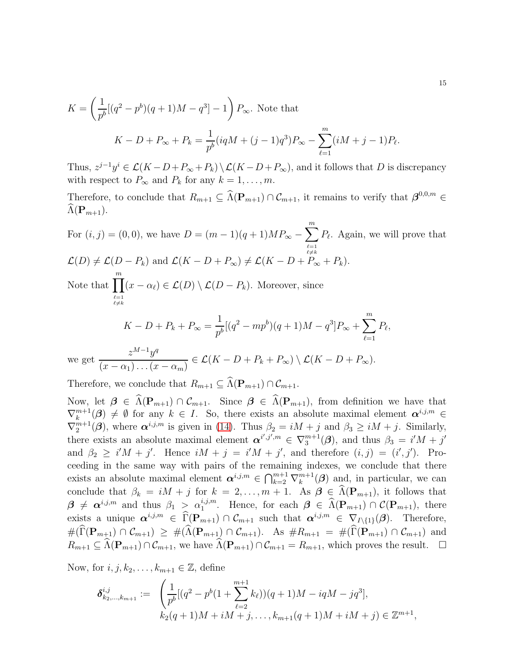$$
K = \left(\frac{1}{p^b}[(q^2 - p^b)(q+1)M - q^3] - 1\right)P_{\infty}.
$$
 Note that  

$$
K - D + P_{\infty} + P_k = \frac{1}{p^b}(iqM + (j-1)q^3)P_{\infty} - \sum_{\ell=1}^m(iM + j - 1)P_{\ell}.
$$

Thus,  $z^{j-1}y^i \in \mathcal{L}(K-D+P_\infty+P_k) \setminus \mathcal{L}(K-D+P_\infty)$ , and it follows that D is discrepancy with respect to  $P_{\infty}$  and  $P_k$  for any  $k = 1, ..., m$ .

Therefore, to conclude that  $R_{m+1} \subseteq \widehat{\Lambda}(\mathbf{P}_{m+1}) \cap C_{m+1}$ , it remains to verify that  $\boldsymbol{\beta}^{0,0,m} \in \Lambda$  $\Lambda(\mathbf{P}_{m+1}).$ 

For  $(i, j) = (0, 0)$ , we have  $D = (m - 1)(q + 1)MP_{\infty}$  –  $\sum_{i=1}^{m}$  $\ell = 1$  $\ell \neq k$  $P_{\ell}$ . Again, we will prove that  $\mathcal{L}(D) \neq \mathcal{L}(D - P_k)$  and  $\mathcal{L}(K - D + P_\infty) \neq \mathcal{L}(K - D + P_\infty + P_k).$ Note that  $\prod^m$  $\ell=1$ <br> $\ell \neq k$  $(x - \alpha_{\ell}) \in \mathcal{L}(D) \setminus \mathcal{L}(D - P_{k})$ . Moreover, since  $K - D + P_k + P_\infty =$ 1  $\frac{1}{p^b}[(q^2 - mp^b)(q+1)M - q^3]P_{\infty} + \sum_{\ell=1}^m$  $_{\ell=1}$  $P_{\ell}$ ,

we get  $z^{M-1}y^q$  $(x - \alpha_1) \dots (x - \alpha_m)$  $\in \mathcal{L}(K - D + P_k + P_\infty) \setminus \mathcal{L}(K - D + P_\infty).$ 

Therefore, we conclude that  $R_{m+1} \subseteq \widehat{\Lambda}(\mathbf{P}_{m+1}) \cap \mathcal{C}_{m+1}$ .

Now, let  $\beta \in \widehat{\Lambda}(\mathbf{P}_{m+1}) \cap \mathcal{C}_{m+1}$ . Since  $\beta \in \widehat{\Lambda}(\mathbf{P}_{m+1})$ , from definition we have that  $\nabla_k^{m+1}(\boldsymbol{\beta}) \neq \emptyset$  for any  $k \in I$ . So, there exists an absolute maximal element  $\boldsymbol{\alpha}^{i,j,m} \in$  $\nabla_2^{m+1}(\boldsymbol{\beta})$ , where  $\boldsymbol{\alpha}^{i,j,m}$  is given in [\(14\)](#page-9-1). Thus  $\beta_2 = iM + j$  and  $\beta_3 \geq iM + j$ . Similarly, there exists an absolute maximal element  $\boldsymbol{\alpha}^{i',j',m} \in \nabla_{3}^{m+1}(\boldsymbol{\beta})$ , and thus  $\beta_3 = i'M + j'$ and  $\beta_2 \geq i'M + j'$ . Hence  $iM + j = i'M + j'$ , and therefore  $(i, j) = (i', j')$ . Proceeding in the same way with pairs of the remaining indexes, we conclude that there exists an absolute maximal element  $\boldsymbol{\alpha}^{i,j,m} \in \bigcap_{k=2}^{m+1} \nabla_k^{m+1}$  $\binom{m+1}{k}$  and, in particular, we can conclude that  $\beta_k = iM + j$  for  $k = 2, \ldots, m + 1$ . As  $\beta \in \Lambda(\mathbf{P}_{m+1})$ , it follows that  $\beta \neq \alpha^{i,j,m}$  and thus  $\beta_1 \geq \alpha_1^{i,j,m}$ . Hence, for each  $\beta \in \widehat{\Lambda}(\mathbf{P}_{m+1}) \cap C(\mathbf{P}_{m+1}),$  there exists a unique  $\alpha^{i,j,m} \in \widehat{\Gamma}(\mathbf{P}_{m+1}) \cap \mathcal{C}_{m+1}$  such that  $\alpha^{i,j,m} \in \nabla_{I\setminus\{1\}}(\boldsymbol{\beta})$ . Therefore,  $\#(\widehat{\Gamma}(\mathbf{P}_{m+1}) \cap \mathcal{C}_{m+1}) \geq \#(\widehat{\Lambda}(\mathbf{P}_{m+1}) \cap \mathcal{C}_{m+1}).$  As  $\#R_{m+1} = \#(\widehat{\Gamma}(\mathbf{P}_{m+1}) \cap \mathcal{C}_{m+1})$  and  $R_{m+1} \subseteq \widehat{\Lambda}(\mathbf{P}_{m+1}) \cap \mathcal{C}_{m+1}$ , we have  $\widehat{\Lambda}(\mathbf{P}_{m+1}) \cap \mathcal{C}_{m+1} = R_{m+1}$ , which proves the result.  $\square$ 

Now, for  $i, j, k_2, \ldots, k_{m+1} \in \mathbb{Z}$ , define

$$
\delta^{i,j}_{k_2,\dots,k_{m+1}} := \begin{cases} \frac{1}{p^b} [(q^2 - p^b(1 + \sum_{\ell=2}^{m+1} k_\ell))(q+1)M - iqM - jq^3], \\ k_2(q+1)M + iM + j, \dots, k_{m+1}(q+1)M + iM + j) \in \mathbb{Z}^{m+1}, \end{cases}
$$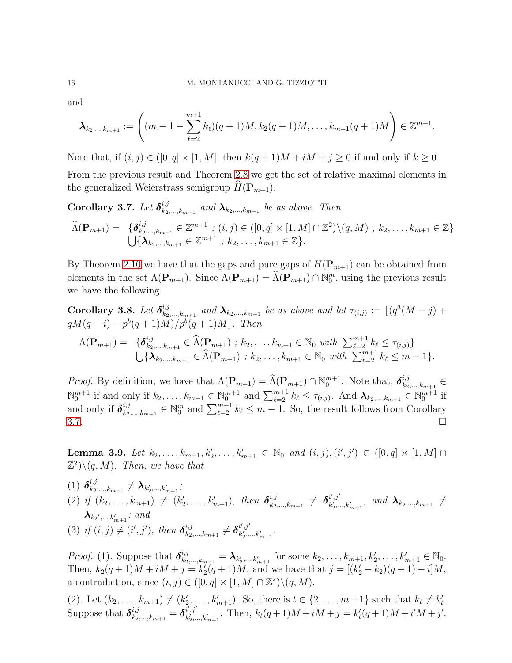and

$$
\boldsymbol{\lambda}_{k_2,\ldots,k_{m+1}} := \left( (m-1-\sum_{\ell=2}^{m+1} k_\ell)(q+1)M, k_2(q+1)M, \ldots, k_{m+1}(q+1)M \right) \in \mathbb{Z}^{m+1}.
$$

Note that, if  $(i, j) \in ([0, q] \times [1, M]$ , then  $k(q + 1)M + iM + j \ge 0$  if and only if  $k \ge 0$ .

From the previous result and Theorem [2.8](#page-7-1) we get the set of relative maximal elements in the generalized Weierstrass semigroup  $H(\mathbf{P}_{m+1})$ .

<span id="page-15-0"></span>Corollary 3.7. Let  $\delta_{k_2}^{i,j}$  $\lambda_{k_{2},...,k_{m+1}}^{i,j}$  and  $\boldsymbol{\lambda}_{k_{2},...,k_{m+1}}$  be as above. Then

$$
\widehat{\Lambda}(\mathbf{P}_{m+1}) = \{ \delta_{k_2,\dots,k_{m+1}}^{i,j} \in \mathbb{Z}^{m+1} \; ; \; (i,j) \in ([0,q] \times [1,M] \cap \mathbb{Z}^2) \setminus (q,M) \; , \; k_2,\dots,k_{m+1} \in \mathbb{Z} \} \n\bigcup \{ \lambda_{k_2,\dots,k_{m+1}} \in \mathbb{Z}^{m+1} \; ; \; k_2,\dots,k_{m+1} \in \mathbb{Z} \}.
$$

By Theorem [2.10](#page-7-4) we have that the gaps and pure gaps of  $H(\mathbf{P}_{m+1})$  can be obtained from elements in the set  $\Lambda(\mathbf{P}_{m+1})$ . Since  $\Lambda(\mathbf{P}_{m+1}) = \Lambda(\mathbf{P}_{m+1}) \cap \mathbb{N}_0^m$ , using the previous result we have the following.

<span id="page-15-1"></span>Corollary 3.8. Let  $\delta_{k_2}^{i,j}$  $x_{k_1,k_2,...,k_{m+1}}^{i,j}$  and  $\lambda_{k_2,...,k_{m+1}}$  be as above and let  $\tau_{(i,j)} := \lfloor (q^3(M-j) + 1) \rfloor$  $qM(q - i) - p^{b}(q + 1)M)/p^{b}(q + 1)M$ . Then

$$
\Lambda(\mathbf{P}_{m+1}) = \{ \delta_{k_2,\ldots,k_{m+1}}^{i,j} \in \widehat{\Lambda}(\mathbf{P}_{m+1}) \; ; \; k_2,\ldots,k_{m+1} \in \mathbb{N}_0 \; with \; \sum_{\ell=2}^{m+1} k_{\ell} \leq \tau_{(i,j)} \} \\ \bigcup \{ \lambda_{k_2,\ldots,k_{m+1}} \in \widehat{\Lambda}(\mathbf{P}_{m+1}) \; ; \; k_2,\ldots,k_{m+1} \in \mathbb{N}_0 \; with \; \sum_{\ell=2}^{m+1} k_{\ell} \leq m-1 \}.
$$

*Proof.* By definition, we have that  $\Lambda(\mathbf{P}_{m+1}) = \widehat{\Lambda}(\mathbf{P}_{m+1}) \cap \mathbb{N}_0^{m+1}$ . Note that,  $\delta_{k_2}^{i,j}$  $k_2,...,k_{m+1} \in$  $\mathbb{N}_0^{m+1}$  if and only if  $k_2, \ldots, k_{m+1} \in \mathbb{N}_0^{m+1}$  and  $\sum_{\ell=2}^{m+1} k_\ell \leq \tau_{(i,j)}$ . And  $\lambda_{k_2, \ldots, k_{m+1}} \in \mathbb{N}_0^{m+1}$  if and only if  $\delta_{k_2}^{i,j}$  $a_{k_2,\ldots,k_{m+1}}^{i,j} \in \mathbb{N}_0^m$  and  $\sum_{\ell=2}^{m+1} k_\ell \leq m-1$ . So, the result follows from Corollary  $3.7.$ 

<span id="page-15-2"></span>**Lemma 3.9.** Let  $k_2, \ldots, k_{m+1}, k'_2, \ldots, k'_{m+1} \in \mathbb{N}_0$  and  $(i, j), (i', j') \in ([0, q] \times [1, M] \cap$  $(\mathbb{Z}^2)\setminus (q, M)$ . Then, we have that

- $(1)$   $\boldsymbol{\delta}_{k_2}^{i,j}$  $_{k_{2},...,k_{m+1}}^{i,\jmath}\neq\boldsymbol{\lambda}_{k_{2}',...,k_{m+1}'};$
- (2) if  $(k_2, \ldots, k_{m+1}) \neq (k'_2, \ldots, k'_{m+1})$ , then  $\delta_{k_2}^{i,j}$  $_{\,k_{2},...,k_{m+1}}^{i,j}\;\neq\;\boldsymbol{\delta}_{k'_{2},:}^{i',j'}$  $\{z^{i}, z^{j}_{k'_{2},...,k'_{m+1}}, \text{ and } \lambda_{k_{2},...,k_{m+1}} \neq 0\}$  $\boldsymbol\lambda_{k_2',...,k_{m+1}'};$  and ′  $_{i,j}$ i ′  $,j'$

(3) if 
$$
(i, j) \neq (i', j')
$$
, then  $\delta_{k_2,...,k_{m+1}}^{i,j} \neq \delta_{k'_2,...,k'_{m+1}}^{i',j'}$ .

*Proof.* (1). Suppose that  $\delta_{k_2,...,k_{m+1}}^{i,j} = \lambda_{k'_2,...,k'_{m+1}}$  for some  $k_2,...,k_{m+1}, k'_2,...,k'_{m+1} \in \mathbb{N}_0$ . Then,  $k_2(q+1)M + iM + j = k'_2(q+1)M$ , and we have that  $j = [(k'_2 - k_2)(q+1) - i]M$ , a contradiction, since  $(i, j) \in ([0, q] \times [1, M] \cap \mathbb{Z}^2) \setminus (q, M)$ .

(2). Let  $(k_2, ..., k_{m+1}) \neq (k'_2, ..., k'_{m+1})$ . So, there is  $t \in \{2, ..., m+1\}$  such that  $k_t \neq k'_t$ . Suppose that  $\boldsymbol{\delta}^{i,j}_{k_2,...,k_{m+1}} = \boldsymbol{\delta}^{i',j'}_{k'_2...}$  $k'_{k'_{1},...,k'_{m+1}}$ . Then,  $k_{t}(q+1)M+iM+j=k'_{t}(q+1)M+i'M+j'.$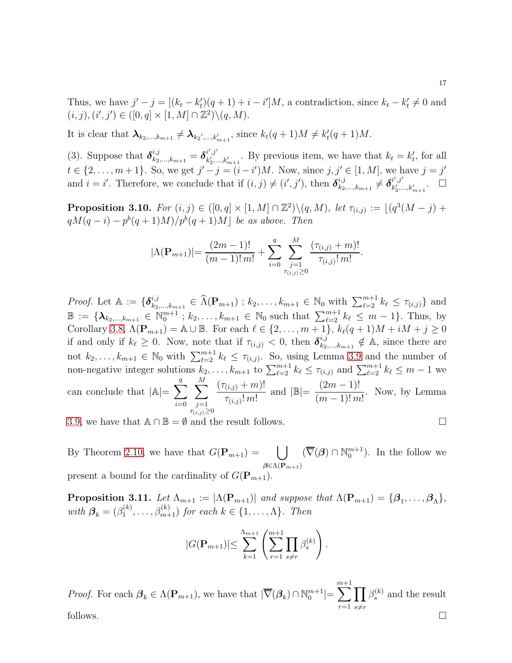Thus, we have  $j'-j=[(k_t-k'_t)(q+1)+i-i']M$ , a contradiction, since  $k_t-k'_t\neq 0$  and  $(i, j), (i', j') \in ([0, q] \times [1, M] \cap \mathbb{Z}^2) \setminus (q, M).$ 

It is clear that  $\lambda_{k_2,\dots,k_{m+1}} \neq \lambda_{k_2',\dots,k'_{m+1}}$ , since  $k_t(q+1)M \neq k'_t(q+1)M$ .

(3). Suppose that  $\delta^{i,j}_{k_2,...,k_{m+1}} = \delta^{i',j'}_{k'_2...}$  $k_2^{i',j'}$ , By previous item, we have that  $k_t = k'_t$ , for all  $t \in \{2, ..., m+1\}$ . So, we get  $j' - j = (i - i')M$ . Now, since  $j, j' \in [1, M]$ , we have  $j = j'$ and  $i = i'$ . Therefore, we conclude that if  $(i, j) \neq (i', j')$ , then  $\delta_{k_2}^{i,j}$  $_{\,k_{2},...,k_{m+1}}^{i,j}\neq\boldsymbol{\delta}_{k'_{2},...}^{i',j'}$  $\begin{array}{cc} i',j' & \phantom{a} \ \phantom{a} k_2',...,k_{m+1}''. \end{array}$   $\Box$ 

**Proposition 3.10.** For  $(i, j) \in ([0, q] \times [1, M] \cap \mathbb{Z}^2) \setminus (q, M)$ , let  $\tau_{(i,j)} := \lfloor (q^3(M - j) +$  $qM(q-i) - p^{b}(q+1)M)/p^{b}(q+1)M$  be as above. Then

$$
|\Lambda(\mathbf{P}_{m+1})| = \frac{(2m-1)!}{(m-1)! \, m!} + \sum_{i=0}^{q} \sum_{\substack{j=1 \ \tau_{(i,j)} \ge 0}}^{M} \frac{(\tau_{(i,j)} + m)!}{\tau_{(i,j)}! \, m!}.
$$

*Proof.* Let  $\mathbb{A} := \{ \boldsymbol{\delta}_{k_2}^{i,j} \}$  $\hat{h}_{k_2,...,k_{m+1}}^{i,j} \in \widehat{\Lambda}(\mathbf{P}_{m+1})$ ;  $k_2,...,k_{m+1} \in \mathbb{N}_0$  with  $\sum_{\ell=2}^{m+1} k_{\ell} \leq \tau_{(i,j)}$  and  $\mathbb{B} := {\mathbf{\{\lambda}}_{k_2,\dots,k_{m+1}} \in \mathbb{N}_0^{m+1} \,; k_2,\dots,k_{m+1} \in \mathbb{N}_0 \text{ such that } \sum_{\ell=2}^{m+1} k_\ell \leq m-1}.$  Thus, by Corollary [3.8,](#page-15-1)  $\Lambda(\mathbf{P}_{m+1}) = \mathbb{A} \cup \mathbb{B}$ . For each  $\ell \in \{2, ..., m+1\}$ ,  $k_{\ell}(q+1)M + iM + j \geq 0$ if and only if  $k_{\ell} \geq 0$ . Now, note that if  $\tau_{(i,j)} < 0$ , then  $\delta_{k_2}^{i,j}$  $a_{k_2,\dots,k_{m+1}}^{i,j} \notin A$ , since there are not  $k_2, \ldots, k_{m+1} \in \mathbb{N}_0$  with  $\sum_{\ell=2}^{m+1} k_{\ell} \leq \tau_{(i,j)}$ . So, using Lemma [3.9](#page-15-2) and the number of non-negative integer solutions  $k_2, \ldots, k_{m+1}$  to  $\sum_{\ell=2}^{m+1} k_{\ell} \leq \tau_{(i,j)}$  and  $\sum_{\ell=2}^{m+1} k_{\ell} \leq m-1$  we can conclude that  $|\mathbb{A}| = \sum_{n=1}^{\infty}$  $i=0$  $\stackrel{M}{\blacktriangledown}$  $_{\tau_{(i,j)} \geq 0}$  $(\tau_{(i,j)} + m)!$  $\frac{\overline{\mathcal{J}(i,j)} + \overline{\mathcal{J}(i,j)}}{\mathcal{J}(i,j)! \, m!}$  and  $|\mathbb{B}| =$  $(2m-1)!$  $(m-1)!$  m! . Now, by Lemma

[3.9,](#page-15-2) we have that  $\mathbb{A} \cap \mathbb{B} = \emptyset$  and the result follows.

By Theorem [2.10,](#page-7-4) we have that  $G(\mathbf{P}_{m+1}) = \begin{bmatrix} \end{bmatrix}$  $\beta{\in}\Lambda(\mathbf{P}_{m+1})$  $(\overline{\nabla}(\boldsymbol{\beta}) \cap \mathbb{N}_0^{m+1})$ . In the follow we present a bound for the cardinality of  $G(\mathbf{P}_{m+1})$ .

**Proposition 3.11.** Let  $\Lambda_{m+1} := |\Lambda(\mathbf{P}_{m+1})|$  and suppose that  $\Lambda(\mathbf{P}_{m+1}) = {\beta_1, \ldots, \beta_{\Lambda}}$ , with  $\boldsymbol{\beta}_k = (\beta_1^{(k)})$  $\beta_1^{(k)}, \ldots, \beta_{m+1}^{(k)}$  for each  $k \in \{1, \ldots, \Lambda\}$ . Then

$$
|G(\mathbf{P}_{m+1})| \leq \sum_{k=1}^{\Lambda_{m+1}} \left( \sum_{r=1}^{m+1} \prod_{s \neq r} \beta_s^{(k)} \right).
$$

*Proof.* For each  $\mathcal{B}_k \in \Lambda(\mathbf{P}_{m+1})$ , we have that  $|\overline{\nabla}(\mathcal{B}_k) \cap \mathbb{N}_0^{m+1}| =$  $\sum^{m+1}$  $r=1$  $\overline{\Pi}$  $s{\neq}r$  $\beta_s^{(k)}$  and the result follows.  $\Box$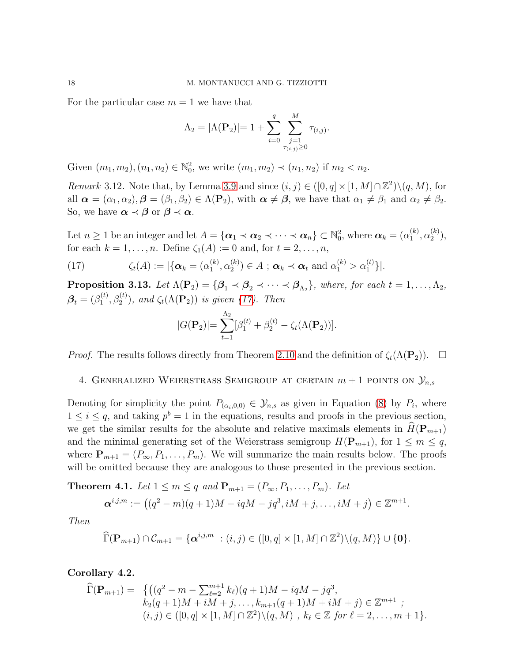For the particular case  $m = 1$  we have that

$$
\Lambda_2 = |\Lambda(\mathbf{P}_2)| = 1 + \sum_{i=0}^{q} \sum_{\substack{j=1 \ \tau(i,j) \ge 0}}^{M} \tau_{(i,j)}.
$$

Given  $(m_1, m_2), (n_1, n_2) \in \mathbb{N}_0^2$ , we write  $(m_1, m_2) \prec (n_1, n_2)$  if  $m_2 < n_2$ .

*Remark* 3.12. Note that, by Lemma [3.9](#page-15-2) and since  $(i, j) \in ([0, q] \times [1, M] \cap \mathbb{Z}^2) \setminus (q, M)$ , for all  $\alpha = (\alpha_1, \alpha_2), \beta = (\beta_1, \beta_2) \in \Lambda(\mathbf{P}_2)$ , with  $\alpha \neq \beta$ , we have that  $\alpha_1 \neq \beta_1$  and  $\alpha_2 \neq \beta_2$ . So, we have  $\alpha \prec \beta$  or  $\beta \prec \alpha$ .

Let  $n \geq 1$  be an integer and let  $A = {\alpha_1 \prec \alpha_2 \prec \cdots \prec \alpha_n} \subset \mathbb{N}_0^2$ , where  $\alpha_k = (\alpha_1^{(k)})$  $_{1}^{(k)},\alpha _{2}^{(k)}$  $\binom{\kappa}{2}$ , for each  $k = 1, \ldots, n$ . Define  $\zeta_1(A) := 0$  and, for  $t = 2, \ldots, n$ ,

<span id="page-17-0"></span>(17) 
$$
\zeta_t(A) := |\{\boldsymbol{\alpha}_k = (\alpha_1^{(k)}, \alpha_2^{(k)}) \in A ; \, \boldsymbol{\alpha}_k \prec \boldsymbol{\alpha}_t \text{ and } \alpha_1^{(k)} > \alpha_1^{(t)}\}|.
$$

**Proposition 3.13.** Let  $\Lambda(\mathbf{P}_2) = {\boldsymbol{\beta}_1 \times \boldsymbol{\beta}_2 \times \cdots \times \boldsymbol{\beta}_{\Lambda_2}}$ , where, for each  $t = 1, \ldots, \Lambda_2$ ,  $\boldsymbol{\beta}_t = (\beta_1^{(t)}$  $\mathcal{L}_1^{(t)}, \beta_2^{(t)}$ ), and  $\zeta_t(\Lambda(\mathbf{P}_2))$  is given [\(17\)](#page-17-0). Then

$$
|G(\mathbf{P}_2)| = \sum_{t=1}^{\Lambda_2} [\beta_1^{(t)} + \beta_2^{(t)} - \zeta_t(\Lambda(\mathbf{P}_2))].
$$

*Proof.* The results follows directly from Theorem [2.10](#page-7-4) and the definition of  $\zeta_t(\Lambda(\mathbf{P}_2))$ .  $\Box$ 

4. GENERALIZED WEIERSTRASS SEMIGROUP AT CERTAIN  $m + 1$  points on  $\mathcal{Y}_{n,s}$ 

Denoting for simplicity the point  $P_{(\alpha_i,0,0)} \in \mathcal{Y}_{n,s}$  as given in Equation [\(8\)](#page-4-1) by  $P_i$ , where  $1 \leq i \leq q$ , and taking  $p^b = 1$  in the equations, results and proofs in the previous section, we get the similar results for the absolute and relative maximals elements in  $H(\mathbf{P}_{m+1})$ and the minimal generating set of the Weierstrass semigroup  $H(\mathbf{P}_{m+1}),$  for  $1 \leq m \leq q$ , where  $\mathbf{P}_{m+1} = (P_{\infty}, P_1, \ldots, P_m)$ . We will summarize the main results below. The proofs will be omitted because they are analogous to those presented in the previous section.

**Theorem 4.1.** Let  $1 \leq m \leq q$  and  $\mathbf{P}_{m+1} = (P_{\infty}, P_1, \ldots, P_m)$ . Let

$$
\alpha^{i,j,m} := ((q^2 - m)(q+1)M - iqM - jq^3, iM + j, \dots, iM + j) \in \mathbb{Z}^{m+1}.
$$

Then

$$
\widehat{\Gamma}(\mathbf{P}_{m+1}) \cap \mathcal{C}_{m+1} = \{ \boldsymbol{\alpha}^{i,j,m} \ : (i,j) \in ([0,q] \times [1,M] \cap \mathbb{Z}^2) \setminus (q,M) \} \cup \{ \mathbf{0} \}.
$$

Corollary 4.2.

$$
\widehat{\Gamma}(\mathbf{P}_{m+1}) = \{ \left( (q^2 - m - \sum_{\ell=2}^{m+1} k_\ell)(q+1)M - iqM - jq^3, \right. \\ k_2(q+1)M + iM + j, \dots, k_{m+1}(q+1)M + iM + j \right) \in \mathbb{Z}^{m+1} ;
$$
  
\n $(i, j) \in ([0, q] \times [1, M] \cap \mathbb{Z}^2) \setminus (q, M) , k_\ell \in \mathbb{Z} \text{ for } \ell = 2, \dots, m+1 \}.$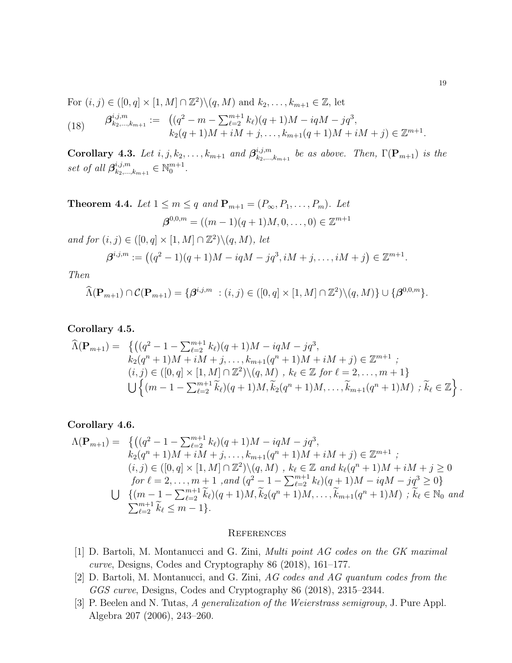For  $(i, j) \in ([0, q] \times [1, M] \cap \mathbb{Z}^2) \setminus (q, M)$  and  $k_2, \ldots, k_{m+1} \in \mathbb{Z}$ , let

(18) 
$$
\beta_{k_2,\dots,k_{m+1}}^{i,j,m} := \left( (q^2 - m - \sum_{\ell=2}^{m+1} k_\ell)(q+1)M - iqM - jq^3, \right. \\ k_2(q+1)M + iM + j, \dots, k_{m+1}(q+1)M + iM + j \right) \in \mathbb{Z}^{m+1}.
$$

Corollary 4.3. Let  $i, j, k_2, \ldots, k_{m+1}$  and  $\boldsymbol{\beta}_{k_2,\ldots,k_m}^{i,j,m}$  $\sum_{k_2,\ldots,k_{m+1}}^{i,j,m}$  be as above. Then,  $\Gamma(\mathbf{P}_{m+1})$  is the set of all  $\beta_{k_2...}^{i,j,m}$  $a_{k_2,...,k_{m+1}}^{i,j,m} \in \mathbb{N}_0^{m+1}.$ 

**Theorem 4.4.** Let 
$$
1 \le m \le q
$$
 and  $\mathbf{P}_{m+1} = (P_{\infty}, P_1, ..., P_m)$ . Let  
\n
$$
\beta^{0,0,m} = ((m-1)(q+1)M, 0, ..., 0) \in \mathbb{Z}^{m+1}
$$
\nand for  $(i, j) \in ([0, q] \times [1, M] \cap \mathbb{Z}^2) \setminus (q, M)$ , let\n
$$
\beta^{i,j,m} := ((q^2 - 1)(q+1)M - iqM - jq^3, iM + j, ..., iM + j) \in \mathbb{Z}^{m+1}.
$$
\nThen

$$
\widehat{\Lambda}(\mathbf{P}_{m+1}) \cap \mathcal{C}(\mathbf{P}_{m+1}) = \{ \boldsymbol{\beta}^{i,j,m} \ : (i,j) \in ([0,q] \times [1,M] \cap \mathbb{Z}^2) \setminus (q,M) \} \cup \{ \boldsymbol{\beta}^{0,0,m} \}.
$$

### Corollary 4.5.

$$
\widehat{\Lambda}(\mathbf{P}_{m+1}) = \left\{ \left( (q^2 - 1 - \sum_{\ell=2}^{m+1} k_{\ell})(q+1)M - iqM - jq^3, \right. \\ k_2(q^n + 1)M + iM + j, \dots, k_{m+1}(q^n + 1)M + iM + j) \in \mathbb{Z}^{m+1} \; ; \right. \\ (i, j) \in ([0, q] \times [1, M] \cap \mathbb{Z}^2) \setminus (q, M) \; , \; k_{\ell} \in \mathbb{Z} \; \text{for} \; \ell = 2, \dots, m+1 \right\} \\ \bigcup \left\{ (m - 1 - \sum_{\ell=2}^{m+1} \widetilde{k}_{\ell})(q+1)M, \widetilde{k}_2(q^n + 1)M, \dots, \widetilde{k}_{m+1}(q^n + 1)M) \; ; \; \widetilde{k}_{\ell} \in \mathbb{Z} \right\}.
$$

## Corollary 4.6.

$$
\Lambda(\mathbf{P}_{m+1}) = \left\{ \left( (q^2 - 1 - \sum_{\ell=2}^{m+1} k_{\ell})(q+1)M - iqM - jq^3 \right), \right. \\ k_2(q^n + 1)M + iM + j, \dots, k_{m+1}(q^n + 1)M + iM + j \right\} \in \mathbb{Z}^{m+1} ;
$$
  
\n $(i, j) \in ([0, q] \times [1, M] \cap \mathbb{Z}^2) \setminus (q, M) , k_{\ell} \in \mathbb{Z} \text{ and } k_{\ell}(q^n + 1)M + iM + j \ge 0$   
\nfor  $\ell = 2, \dots, m+1$ , and  $(q^2 - 1 - \sum_{\ell=2}^{m+1} k_{\ell})(q+1)M - iqM - jq^3 \ge 0$ }  
\n $\bigcup \left\{ (m - 1 - \sum_{\ell=2}^{m+1} \widetilde{k}_{\ell})(q+1)M, \widetilde{k}_{2}(q^n + 1)M, \dots, \widetilde{k}_{m+1}(q^n + 1)M \right\} ; \widetilde{k}_{\ell} \in \mathbb{N}_0 \text{ and }$   
\n $\sum_{\ell=2}^{m+1} \widetilde{k}_{\ell} \le m - 1 \right\}.$ 

#### **REFERENCES**

- <span id="page-18-1"></span>[1] D. Bartoli, M. Montanucci and G. Zini, Multi point AG codes on the GK maximal curve, Designs, Codes and Cryptography 86 (2018), 161–177.
- <span id="page-18-2"></span>[2] D. Bartoli, M. Montanucci, and G. Zini, AG codes and AG quantum codes from the GGS curve, Designs, Codes and Cryptography 86 (2018), 2315–2344.
- <span id="page-18-0"></span>[3] P. Beelen and N. Tutas, A generalization of the Weierstrass semigroup, J. Pure Appl. Algebra 207 (2006), 243–260.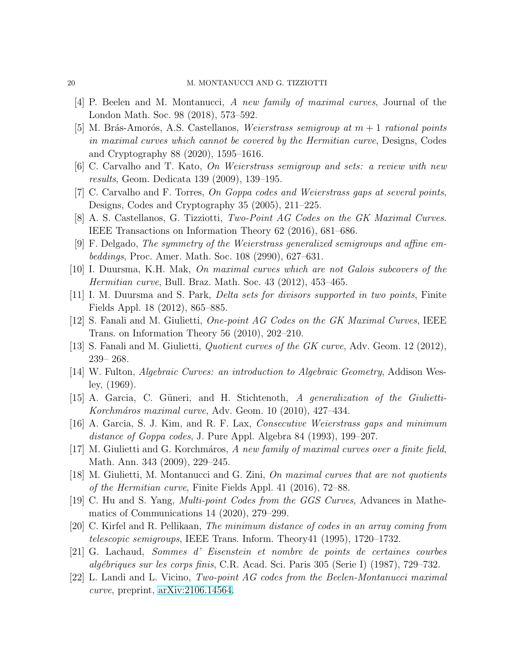- <span id="page-19-12"></span><span id="page-19-9"></span>[4] P. Beelen and M. Montanucci, A new family of maximal curves, Journal of the London Math. Soc. 98 (2018), 573–592.
- [5] M. Brás-Amorós, A.S. Castellanos, Weierstrass semigroup at  $m + 1$  rational points in maximal curves which cannot be covered by the Hermitian curve, Designs, Codes and Cryptography 88 (2020), 1595–1616.
- <span id="page-19-16"></span><span id="page-19-14"></span>[6] C. Carvalho and T. Kato, On Weierstrass semigroup and sets: a review with new results, Geom. Dedicata 139 (2009), 139–195.
- <span id="page-19-6"></span>[7] C. Carvalho and F. Torres, On Goppa codes and Weierstrass gaps at several points, Designs, Codes and Cryptography 35 (2005), 211–225.
- <span id="page-19-0"></span>[8] A. S. Castellanos, G. Tizziotti, Two-Point AG Codes on the GK Maximal Curves. IEEE Transactions on Information Theory 62 (2016), 681–686.
- <span id="page-19-5"></span>[9] F. Delgado, The symmetry of the Weierstrass generalized semigroups and affine embeddings, Proc. Amer. Math. Soc. 108 (2990), 627–631.
- <span id="page-19-17"></span>[10] I. Duursma, K.H. Mak, On maximal curves which are not Galois subcovers of the Hermitian curve, Bull. Braz. Math. Soc. 43 (2012), 453–465.
- <span id="page-19-7"></span>[11] I. M. Duursma and S. Park, Delta sets for divisors supported in two points, Finite Fields Appl. 18 (2012), 865–885.
- <span id="page-19-11"></span>[12] S. Fanali and M. Giulietti, One-point AG Codes on the GK Maximal Curves, IEEE Trans. on Information Theory 56 (2010), 202–210.
- <span id="page-19-18"></span>[13] S. Fanali and M. Giulietti, Quotient curves of the GK curve, Adv. Geom. 12 (2012), 239– 268.
- <span id="page-19-3"></span>[14] W. Fulton, Algebraic Curves: an introduction to Algebraic Geometry, Addison Wesley, (1969).
- <span id="page-19-15"></span>[15] A. Garcia, C. Güneri, and H. Stichtenoth, A generalization of the Giulietti-Korchmáros maximal curve, Adv. Geom. 10 (2010), 427–434.
- <span id="page-19-2"></span>[16] A. Garcia, S. J. Kim, and R. F. Lax, Consecutive Weierstrass gaps and minimum distance of Goppa codes, J. Pure Appl. Algebra 84 (1993), 199–207.
- [17] M. Giulietti and G. Korchmáros, A new family of maximal curves over a finite field, Math. Ann. 343 (2009), 229–245.
- <span id="page-19-8"></span><span id="page-19-4"></span>[18] M. Giulietti, M. Montanucci and G. Zini, On maximal curves that are not quotients of the Hermitian curve, Finite Fields Appl. 41 (2016), 72–88.
- [19] C. Hu and S. Yang, Multi-point Codes from the GGS Curves, Advances in Mathematics of Communications 14 (2020), 279–299.
- <span id="page-19-13"></span><span id="page-19-1"></span>[20] C. Kirfel and R. Pellikaan, The minimum distance of codes in an array coming from telescopic semigroups, IEEE Trans. Inform. Theory41 (1995), 1720–1732.
- <span id="page-19-10"></span>[21] G. Lachaud, Sommes d' Eisenstein et nombre de points de certaines courbes  $alq\'e$  *bigues sur les corps finis*, C.R. Acad. Sci. Paris 305 (Series I) (1987), 729–732.
- [22] L. Landi and L. Vicino, Two-point AG codes from the Beelen-Montanucci maximal curve, preprint, [arXiv:2106.14564.](http://arxiv.org/abs/2106.14564)